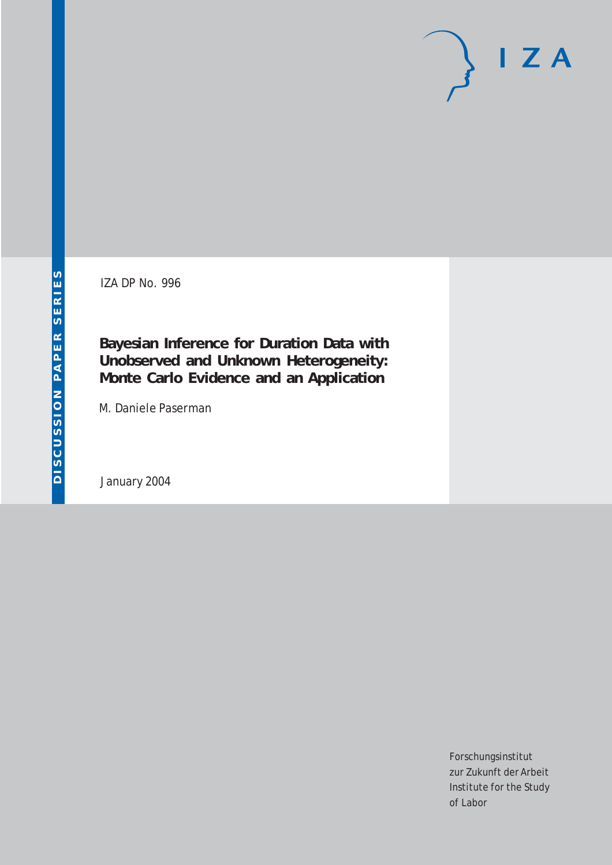# $I Z A$

IZA DP No. 996

**Bayesian Inference for Duration Data with Unobserved and Unknown Heterogeneity: Monte Carlo Evidence and an Application**

M. Daniele Paserman

January 2004

Forschungsinstitut zur Zukunft der Arbeit Institute for the Study of Labor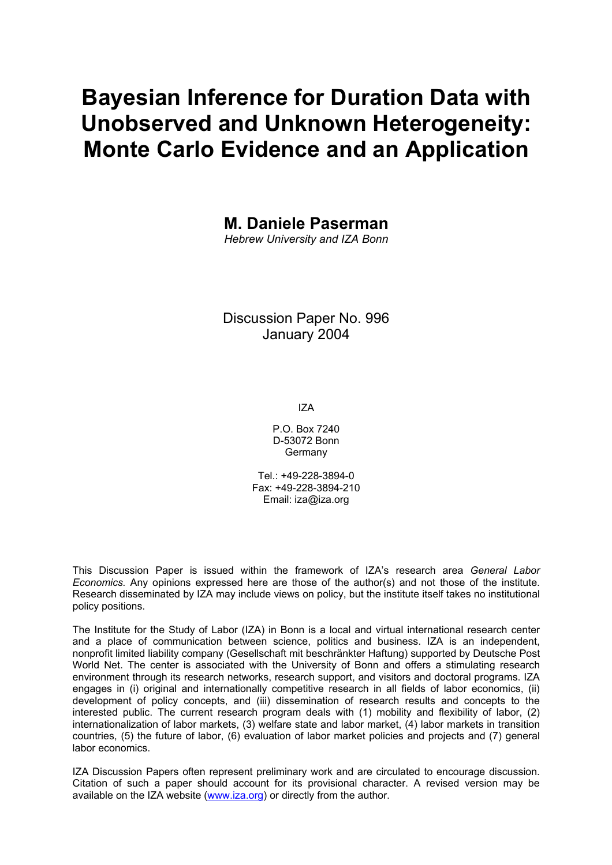# **Bayesian Inference for Duration Data with Unobserved and Unknown Heterogeneity: Monte Carlo Evidence and an Application**

**M. Daniele Paserman** 

*Hebrew University and IZA Bonn* 

### Discussion Paper No. 996 January 2004

IZA

P.O. Box 7240 D-53072 Bonn Germany

Tel.: +49-228-3894-0 Fax: +49-228-3894-210 Email: [iza@iza.org](mailto:iza@iza.org)

This Discussion Paper is issued within the framework of IZA's research area *General Labor Economics.* Any opinions expressed here are those of the author(s) and not those of the institute. Research disseminated by IZA may include views on policy, but the institute itself takes no institutional policy positions.

The Institute for the Study of Labor (IZA) in Bonn is a local and virtual international research center and a place of communication between science, politics and business. IZA is an independent, nonprofit limited liability company (Gesellschaft mit beschränkter Haftung) supported by Deutsche Post World Net. The center is associated with the University of Bonn and offers a stimulating research environment through its research networks, research support, and visitors and doctoral programs. IZA engages in (i) original and internationally competitive research in all fields of labor economics, (ii) development of policy concepts, and (iii) dissemination of research results and concepts to the interested public. The current research program deals with (1) mobility and flexibility of labor, (2) internationalization of labor markets, (3) welfare state and labor market, (4) labor markets in transition countries, (5) the future of labor, (6) evaluation of labor market policies and projects and (7) general labor economics.

IZA Discussion Papers often represent preliminary work and are circulated to encourage discussion. Citation of such a paper should account for its provisional character. A revised version may be available on the IZA website ([www.iza.org](http://www.iza.org/)) or directly from the author.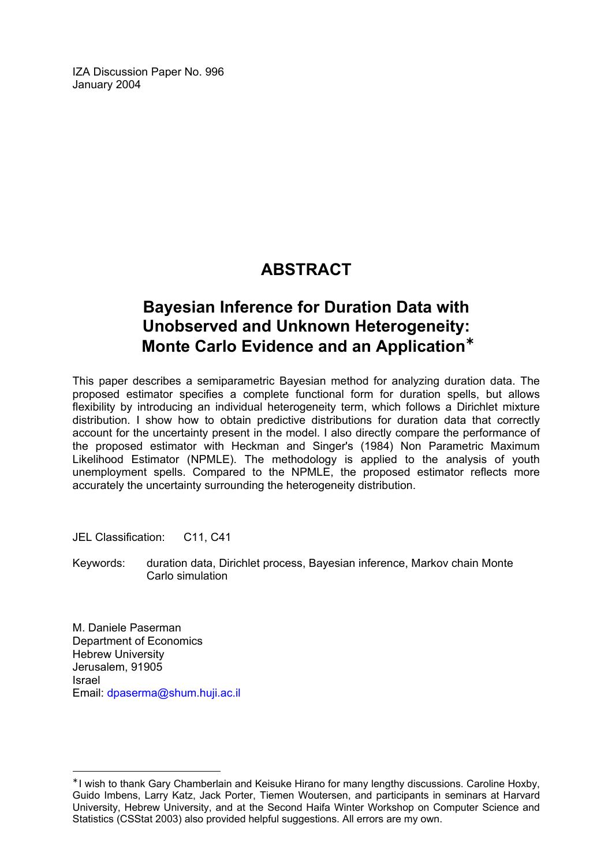IZA Discussion Paper No. 996 January 2004

## **ABSTRACT**

## **Bayesian Inference for Duration Data with Unobserved and Unknown Heterogeneity: Monte Carlo Evidence and an Application**[∗](#page-2-0)

This paper describes a semiparametric Bayesian method for analyzing duration data. The proposed estimator specifies a complete functional form for duration spells, but allows flexibility by introducing an individual heterogeneity term, which follows a Dirichlet mixture distribution. I show how to obtain predictive distributions for duration data that correctly account for the uncertainty present in the model. I also directly compare the performance of the proposed estimator with Heckman and Singer's (1984) Non Parametric Maximum Likelihood Estimator (NPMLE). The methodology is applied to the analysis of youth unemployment spells. Compared to the NPMLE, the proposed estimator reflects more accurately the uncertainty surrounding the heterogeneity distribution.

JEL Classification: C11, C41

Keywords: duration data, Dirichlet process, Bayesian inference, Markov chain Monte Carlo simulation

M. Daniele Paserman Department of Economics Hebrew University Jerusalem, 91905 Israel Email: [dpaserma@shum.huji.ac.il](mailto:dpaserma@shum.huji.ac.il) 

 $\overline{a}$ 

<span id="page-2-0"></span><sup>∗</sup> I wish to thank Gary Chamberlain and Keisuke Hirano for many lengthy discussions. Caroline Hoxby, Guido Imbens, Larry Katz, Jack Porter, Tiemen Woutersen, and participants in seminars at Harvard University, Hebrew University, and at the Second Haifa Winter Workshop on Computer Science and Statistics (CSStat 2003) also provided helpful suggestions. All errors are my own.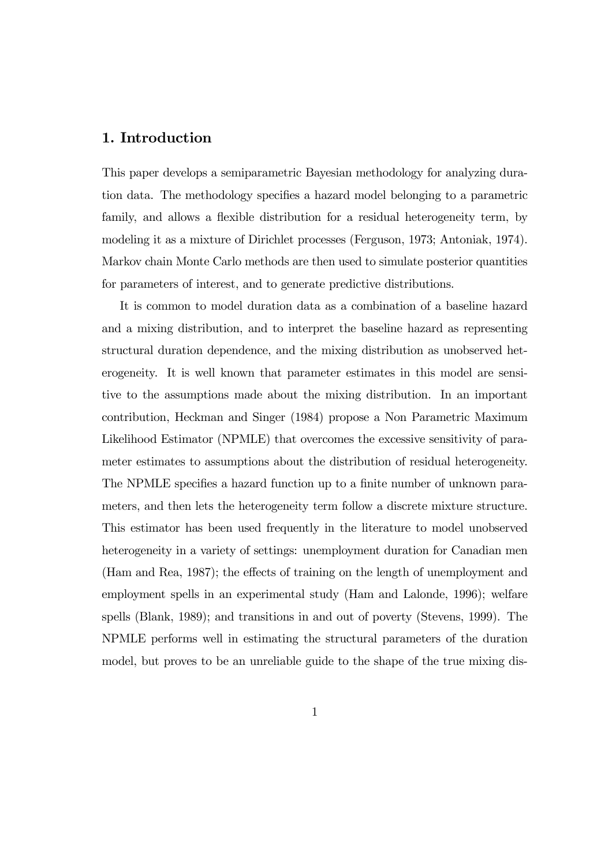#### 1. Introduction

This paper develops a semiparametric Bayesian methodology for analyzing duration data. The methodology specifies a hazard model belonging to a parametric family, and allows a flexible distribution for a residual heterogeneity term, by modeling it as a mixture of Dirichlet processes (Ferguson, 1973; Antoniak, 1974). Markov chain Monte Carlo methods are then used to simulate posterior quantities for parameters of interest, and to generate predictive distributions.

It is common to model duration data as a combination of a baseline hazard and a mixing distribution, and to interpret the baseline hazard as representing structural duration dependence, and the mixing distribution as unobserved heterogeneity. It is well known that parameter estimates in this model are sensitive to the assumptions made about the mixing distribution. In an important contribution, Heckman and Singer (1984) propose a Non Parametric Maximum Likelihood Estimator (NPMLE) that overcomes the excessive sensitivity of parameter estimates to assumptions about the distribution of residual heterogeneity. The NPMLE specifies a hazard function up to a finite number of unknown parameters, and then lets the heterogeneity term follow a discrete mixture structure. This estimator has been used frequently in the literature to model unobserved heterogeneity in a variety of settings: unemployment duration for Canadian men (Ham and Rea, 1987); the effects of training on the length of unemployment and employment spells in an experimental study (Ham and Lalonde, 1996); welfare spells (Blank, 1989); and transitions in and out of poverty (Stevens, 1999). The NPMLE performs well in estimating the structural parameters of the duration model, but proves to be an unreliable guide to the shape of the true mixing dis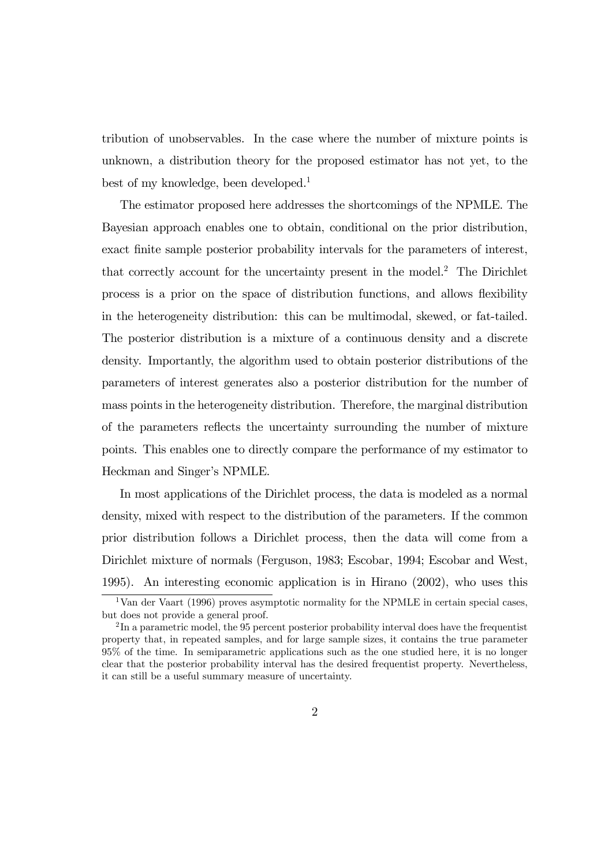tribution of unobservables. In the case where the number of mixture points is unknown, a distribution theory for the proposed estimator has not yet, to the best of my knowledge, been developed.<sup>1</sup>

The estimator proposed here addresses the shortcomings of the NPMLE. The Bayesian approach enables one to obtain, conditional on the prior distribution, exact finite sample posterior probability intervals for the parameters of interest, that correctly account for the uncertainty present in the model.<sup>2</sup> The Dirichlet process is a prior on the space of distribution functions, and allows flexibility in the heterogeneity distribution: this can be multimodal, skewed, or fat-tailed. The posterior distribution is a mixture of a continuous density and a discrete density. Importantly, the algorithm used to obtain posterior distributions of the parameters of interest generates also a posterior distribution for the number of mass points in the heterogeneity distribution. Therefore, the marginal distribution of the parameters reflects the uncertainty surrounding the number of mixture points. This enables one to directly compare the performance of my estimator to Heckman and Singer's NPMLE.

In most applications of the Dirichlet process, the data is modeled as a normal density, mixed with respect to the distribution of the parameters. If the common prior distribution follows a Dirichlet process, then the data will come from a Dirichlet mixture of normals (Ferguson, 1983; Escobar, 1994; Escobar and West, 1995). An interesting economic application is in Hirano (2002), who uses this

 $1$ Van der Vaart (1996) proves asymptotic normality for the NPMLE in certain special cases, but does not provide a general proof.

<sup>&</sup>lt;sup>2</sup>In a parametric model, the 95 percent posterior probability interval does have the frequentist property that, in repeated samples, and for large sample sizes, it contains the true parameter 95% of the time. In semiparametric applications such as the one studied here, it is no longer clear that the posterior probability interval has the desired frequentist property. Nevertheless, it can still be a useful summary measure of uncertainty.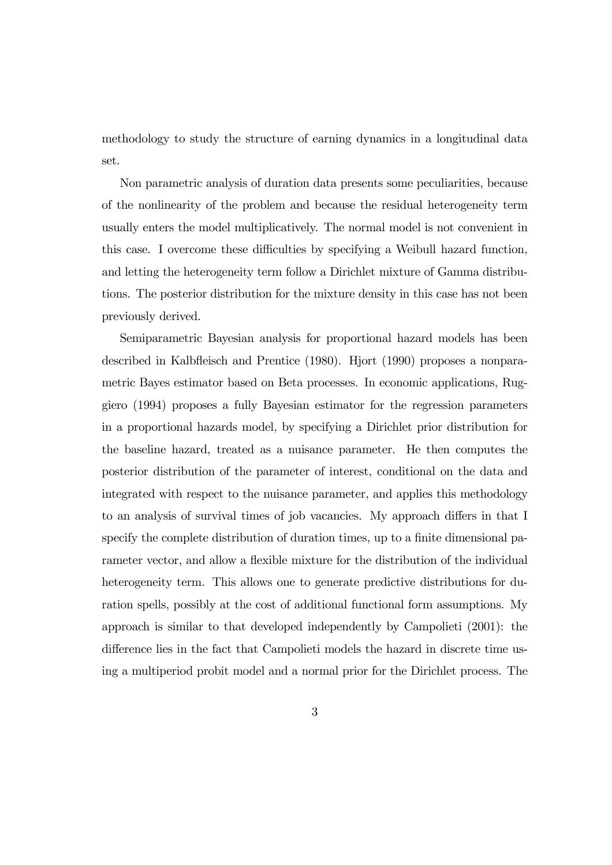methodology to study the structure of earning dynamics in a longitudinal data set.

Non parametric analysis of duration data presents some peculiarities, because of the nonlinearity of the problem and because the residual heterogeneity term usually enters the model multiplicatively. The normal model is not convenient in this case. I overcome these difficulties by specifying a Weibull hazard function, and letting the heterogeneity term follow a Dirichlet mixture of Gamma distributions. The posterior distribution for the mixture density in this case has not been previously derived.

Semiparametric Bayesian analysis for proportional hazard models has been described in Kalbfleisch and Prentice (1980). Hjort (1990) proposes a nonparametric Bayes estimator based on Beta processes. In economic applications, Ruggiero (1994) proposes a fully Bayesian estimator for the regression parameters in a proportional hazards model, by specifying a Dirichlet prior distribution for the baseline hazard, treated as a nuisance parameter. He then computes the posterior distribution of the parameter of interest, conditional on the data and integrated with respect to the nuisance parameter, and applies this methodology to an analysis of survival times of job vacancies. My approach differs in that I specify the complete distribution of duration times, up to a finite dimensional parameter vector, and allow a flexible mixture for the distribution of the individual heterogeneity term. This allows one to generate predictive distributions for duration spells, possibly at the cost of additional functional form assumptions. My approach is similar to that developed independently by Campolieti (2001): the difference lies in the fact that Campolieti models the hazard in discrete time using a multiperiod probit model and a normal prior for the Dirichlet process. The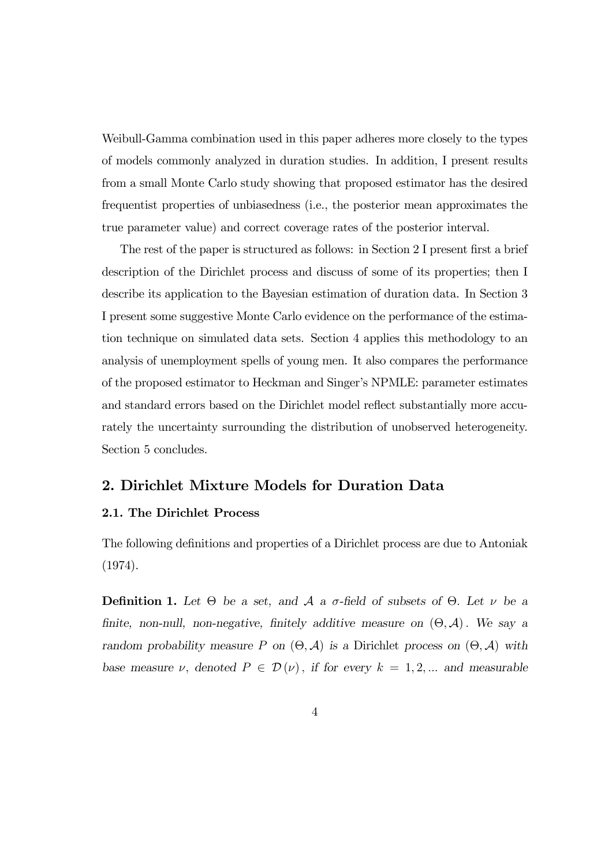Weibull-Gamma combination used in this paper adheres more closely to the types of models commonly analyzed in duration studies. In addition, I present results from a small Monte Carlo study showing that proposed estimator has the desired frequentist properties of unbiasedness (i.e., the posterior mean approximates the true parameter value) and correct coverage rates of the posterior interval.

The rest of the paper is structured as follows: in Section 2 I present first a brief description of the Dirichlet process and discuss of some of its properties; then I describe its application to the Bayesian estimation of duration data. In Section 3 I present some suggestive Monte Carlo evidence on the performance of the estimation technique on simulated data sets. Section 4 applies this methodology to an analysis of unemployment spells of young men. It also compares the performance of the proposed estimator to Heckman and Singer's NPMLE: parameter estimates and standard errors based on the Dirichlet model reflect substantially more accurately the uncertainty surrounding the distribution of unobserved heterogeneity. Section 5 concludes.

#### 2. Dirichlet Mixture Models for Duration Data

#### 2.1. The Dirichlet Process

The following definitions and properties of a Dirichlet process are due to Antoniak (1974).

**Definition 1.** Let  $\Theta$  be a set, and  $\mathcal A$  a σ-field of subsets of  $\Theta$ . Let  $\nu$  be a finite, non-null, non-negative, finitely additive measure on  $(\Theta, \mathcal{A})$ . We say a random probability measure P on  $(\Theta, \mathcal{A})$  is a Dirichlet process on  $(\Theta, \mathcal{A})$  with base measure  $\nu$ , denoted  $P \in \mathcal{D}(\nu)$ , if for every  $k = 1, 2, ...$  and measurable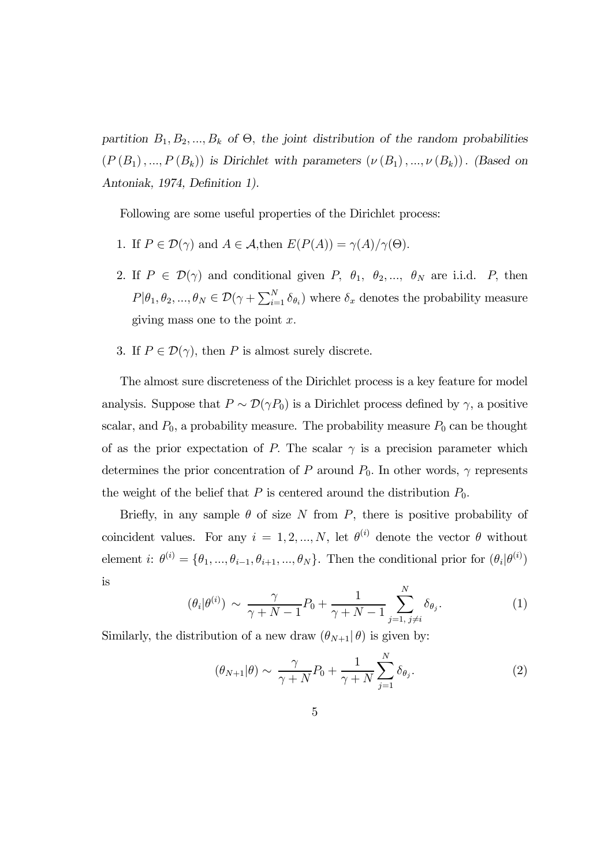partition  $B_1, B_2, ..., B_k$  of  $\Theta$ , the joint distribution of the random probabilities  $(P(B_1),...,P(B_k))$  is Dirichlet with parameters  $(\nu(B_1),...,\nu(B_k))$ . (Based on Antoniak, 1974, Definition 1).

Following are some useful properties of the Dirichlet process:

- 1. If  $P \in \mathcal{D}(\gamma)$  and  $A \in \mathcal{A}$ , then  $E(P(A)) = \gamma(A)/\gamma(\Theta)$ .
- 2. If  $P \in \mathcal{D}(\gamma)$  and conditional given  $P$ ,  $\theta_1$ ,  $\theta_2$ , ...,  $\theta_N$  are i.i.d.  $P$ , then  $P|\theta_1, \theta_2, ..., \theta_N \in \mathcal{D}(\gamma + \sum_{i=1}^N \delta_{\theta_i})$  where  $\delta_x$  denotes the probability measure giving mass one to the point  $x$ .
- 3. If  $P \in \mathcal{D}(\gamma)$ , then P is almost surely discrete.

The almost sure discreteness of the Dirichlet process is a key feature for model analysis. Suppose that  $P \sim \mathcal{D}(\gamma P_0)$  is a Dirichlet process defined by  $\gamma$ , a positive scalar, and  $P_0$ , a probability measure. The probability measure  $P_0$  can be thought of as the prior expectation of P. The scalar  $\gamma$  is a precision parameter which determines the prior concentration of P around  $P_0$ . In other words,  $\gamma$  represents the weight of the belief that P is centered around the distribution  $P_0$ .

Briefly, in any sample  $\theta$  of size N from P, there is positive probability of coincident values. For any  $i = 1, 2, ..., N$ , let  $\theta^{(i)}$  denote the vector  $\theta$  without element *i*:  $\theta^{(i)} = \{\theta_1, ..., \theta_{i-1}, \theta_{i+1}, ..., \theta_N\}$ . Then the conditional prior for  $(\theta_i | \theta^{(i)})$ is

$$
(\theta_i|\theta^{(i)}) \sim \frac{\gamma}{\gamma + N - 1}P_0 + \frac{1}{\gamma + N - 1}\sum_{j=1,\,j\neq i}^N \delta_{\theta_j}.\tag{1}
$$

Similarly, the distribution of a new draw  $(\theta_{N+1}|\theta)$  is given by:

$$
(\theta_{N+1}|\theta) \sim \frac{\gamma}{\gamma+N} P_0 + \frac{1}{\gamma+N} \sum_{j=1}^N \delta_{\theta_j}.
$$
 (2)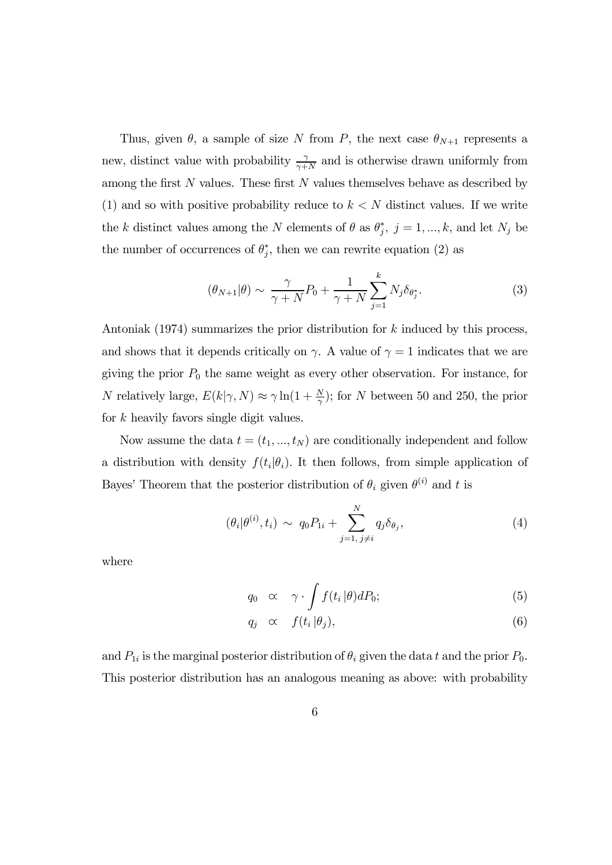Thus, given  $\theta$ , a sample of size N from P, the next case  $\theta_{N+1}$  represents a new, distinct value with probability  $\frac{\gamma}{\gamma+N}$  and is otherwise drawn uniformly from among the first N values. These first N values themselves behave as described by (1) and so with positive probability reduce to  $k < N$  distinct values. If we write the k distinct values among the N elements of  $\theta$  as  $\theta_j^*$ ,  $j = 1, ..., k$ , and let  $N_j$  be the number of occurrences of  $\theta_j^*$ , then we can rewrite equation (2) as

$$
(\theta_{N+1}|\theta) \sim \frac{\gamma}{\gamma+N} P_0 + \frac{1}{\gamma+N} \sum_{j=1}^k N_j \delta_{\theta_j^*}.
$$
 (3)

Antoniak (1974) summarizes the prior distribution for k induced by this process, and shows that it depends critically on  $\gamma$ . A value of  $\gamma = 1$  indicates that we are giving the prior  $P_0$  the same weight as every other observation. For instance, for N relatively large,  $E(k|\gamma, N) \approx \gamma \ln(1 + \frac{N}{\gamma})$ ; for N between 50 and 250, the prior for k heavily favors single digit values.

Now assume the data  $t = (t_1, ..., t_N)$  are conditionally independent and follow a distribution with density  $f(t_i|\theta_i)$ . It then follows, from simple application of Bayes' Theorem that the posterior distribution of  $\theta_i$  given  $\theta^{(i)}$  and t is

$$
(\theta_i|\theta^{(i)},t_i) \sim q_0 P_{1i} + \sum_{j=1,\ j\neq i}^N q_j \delta_{\theta_j},\tag{4}
$$

where

$$
q_0 \quad \propto \quad \gamma \cdot \int f(t_i \, | \theta) dP_0; \tag{5}
$$

$$
q_j \quad \propto \quad f(t_i \, | \theta_j), \tag{6}
$$

and  $P_{1i}$  is the marginal posterior distribution of  $\theta_i$  given the data t and the prior  $P_0$ . This posterior distribution has an analogous meaning as above: with probability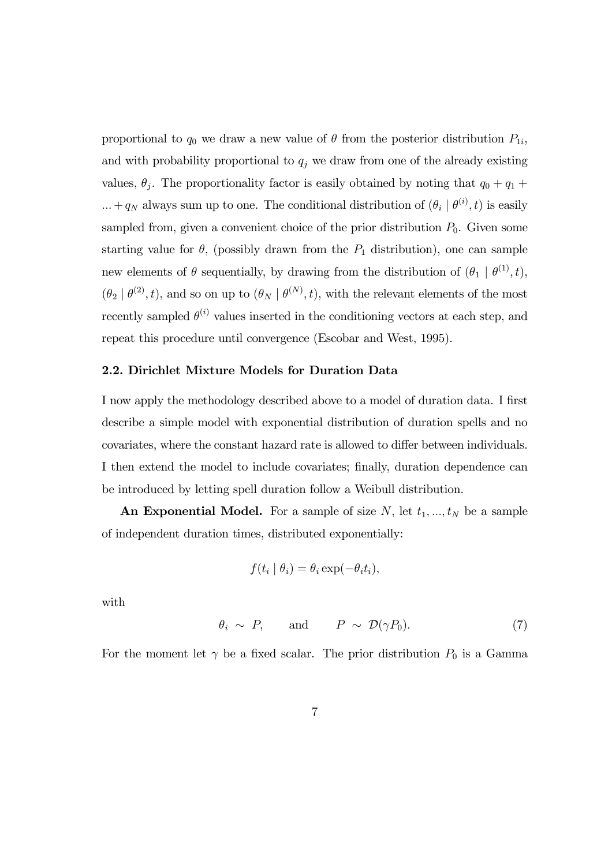proportional to  $q_0$  we draw a new value of  $\theta$  from the posterior distribution  $P_{1i}$ , and with probability proportional to  $q_j$  we draw from one of the already existing values,  $\theta_j$ . The proportionality factor is easily obtained by noting that  $q_0 + q_1 +$ ... +  $q_N$  always sum up to one. The conditional distribution of  $(\theta_i | \theta^{(i)}, t)$  is easily sampled from, given a convenient choice of the prior distribution  $P_0$ . Given some starting value for  $\theta$ , (possibly drawn from the  $P_1$  distribution), one can sample new elements of  $\theta$  sequentially, by drawing from the distribution of  $(\theta_1 | \theta^{(1)}, t)$ ,  $(\theta_2 | \theta^{(2)}, t)$ , and so on up to  $(\theta_N | \theta^{(N)}, t)$ , with the relevant elements of the most recently sampled  $\theta^{(i)}$  values inserted in the conditioning vectors at each step, and repeat this procedure until convergence (Escobar and West, 1995).

#### 2.2. Dirichlet Mixture Models for Duration Data

I now apply the methodology described above to a model of duration data. I first describe a simple model with exponential distribution of duration spells and no covariates, where the constant hazard rate is allowed to differ between individuals. I then extend the model to include covariates; finally, duration dependence can be introduced by letting spell duration follow a Weibull distribution.

An Exponential Model. For a sample of size N, let  $t_1, ..., t_N$  be a sample of independent duration times, distributed exponentially:

$$
f(t_i | \theta_i) = \theta_i \exp(-\theta_i t_i),
$$

with

$$
\theta_i \sim P
$$
, and  $P \sim \mathcal{D}(\gamma P_0)$ . (7)

For the moment let  $\gamma$  be a fixed scalar. The prior distribution  $P_0$  is a Gamma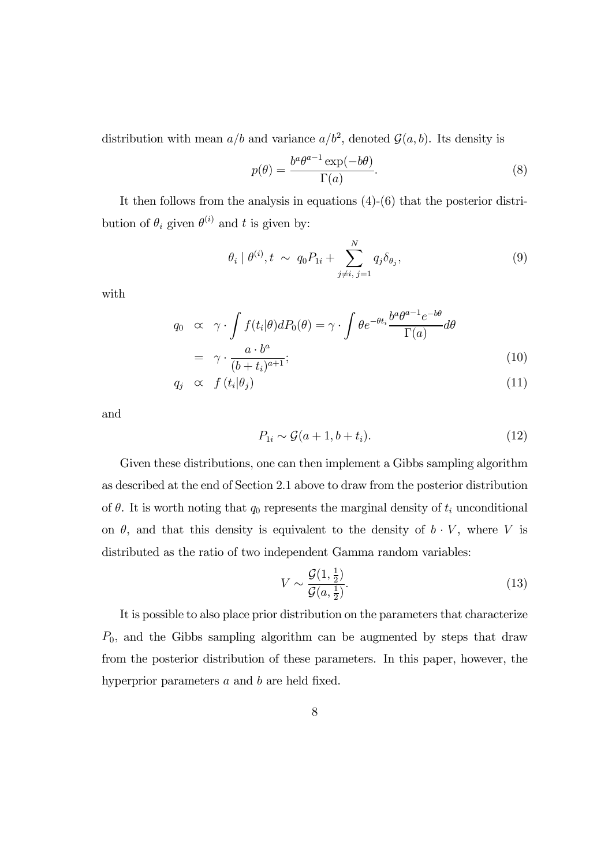distribution with mean  $a/b$  and variance  $a/b^2$ , denoted  $\mathcal{G}(a, b)$ . Its density is

$$
p(\theta) = \frac{b^a \theta^{a-1} \exp(-b\theta)}{\Gamma(a)}.
$$
\n(8)

It then follows from the analysis in equations (4)-(6) that the posterior distribution of  $\theta_i$  given  $\theta^{(i)}$  and t is given by:

$$
\theta_i \mid \theta^{(i)}, t \sim q_0 P_{1i} + \sum_{j \neq i, j=1}^N q_j \delta_{\theta_j}, \tag{9}
$$

with

$$
q_0 \propto \gamma \cdot \int f(t_i|\theta) dP_0(\theta) = \gamma \cdot \int \theta e^{-\theta t_i} \frac{b^a \theta^{a-1} e^{-b\theta}}{\Gamma(a)} d\theta
$$

$$
= \gamma \cdot \frac{a \cdot b^a}{(b+t_i)^{a+1}};
$$
(10)

$$
q_j \quad \propto \quad f(t_i|\theta_j) \tag{11}
$$

and

$$
P_{1i} \sim \mathcal{G}(a+1, b+t_i). \tag{12}
$$

Given these distributions, one can then implement a Gibbs sampling algorithm as described at the end of Section 2.1 above to draw from the posterior distribution of  $\theta$ . It is worth noting that  $q_0$  represents the marginal density of  $t_i$  unconditional on  $\theta$ , and that this density is equivalent to the density of  $b \cdot V$ , where V is distributed as the ratio of two independent Gamma random variables:

$$
V \sim \frac{\mathcal{G}(1, \frac{1}{2})}{\mathcal{G}(a, \frac{1}{2})}.\tag{13}
$$

It is possible to also place prior distribution on the parameters that characterize  $P_0$ , and the Gibbs sampling algorithm can be augmented by steps that draw from the posterior distribution of these parameters. In this paper, however, the hyperprior parameters a and b are held fixed.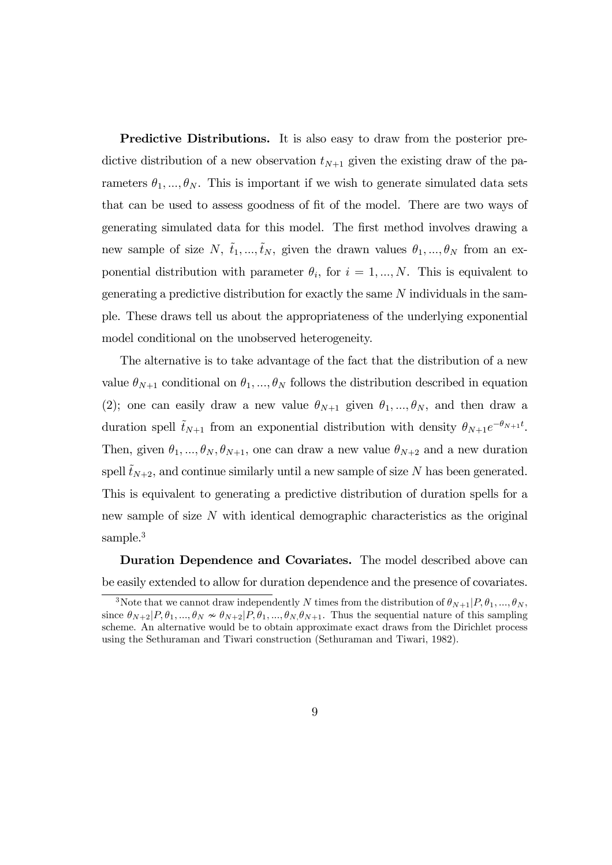Predictive Distributions. It is also easy to draw from the posterior predictive distribution of a new observation  $t_{N+1}$  given the existing draw of the parameters  $\theta_1, ..., \theta_N$ . This is important if we wish to generate simulated data sets that can be used to assess goodness of fit of the model. There are two ways of generating simulated data for this model. The first method involves drawing a new sample of size N,  $\tilde{t}_1, ..., \tilde{t}_N$ , given the drawn values  $\theta_1, ..., \theta_N$  from an exponential distribution with parameter  $\theta_i$ , for  $i = 1, ..., N$ . This is equivalent to generating a predictive distribution for exactly the same N individuals in the sample. These draws tell us about the appropriateness of the underlying exponential model conditional on the unobserved heterogeneity.

The alternative is to take advantage of the fact that the distribution of a new value  $\theta_{N+1}$  conditional on  $\theta_1, ..., \theta_N$  follows the distribution described in equation (2); one can easily draw a new value  $\theta_{N+1}$  given  $\theta_1, ..., \theta_N$ , and then draw a duration spell  $\tilde{t}_{N+1}$  from an exponential distribution with density  $\theta_{N+1}e^{-\theta_{N+1}t}$ . Then, given  $\theta_1, ..., \theta_N, \theta_{N+1}$ , one can draw a new value  $\theta_{N+2}$  and a new duration spell  $\tilde{t}_{N+2}$ , and continue similarly until a new sample of size N has been generated. This is equivalent to generating a predictive distribution of duration spells for a new sample of size  $N$  with identical demographic characteristics as the original sample.<sup>3</sup>

Duration Dependence and Covariates. The model described above can be easily extended to allow for duration dependence and the presence of covariates.

<sup>&</sup>lt;sup>3</sup>Note that we cannot draw independently N times from the distribution of  $\theta_{N+1}|P,\theta_1,...,\theta_N$ , since  $\theta_{N+2}|P,\theta_1,...,\theta_N \nsim \theta_{N+2}|P,\theta_1,...,\theta_N,\theta_{N+1}$ . Thus the sequential nature of this sampling scheme. An alternative would be to obtain approximate exact draws from the Dirichlet process using the Sethuraman and Tiwari construction (Sethuraman and Tiwari, 1982).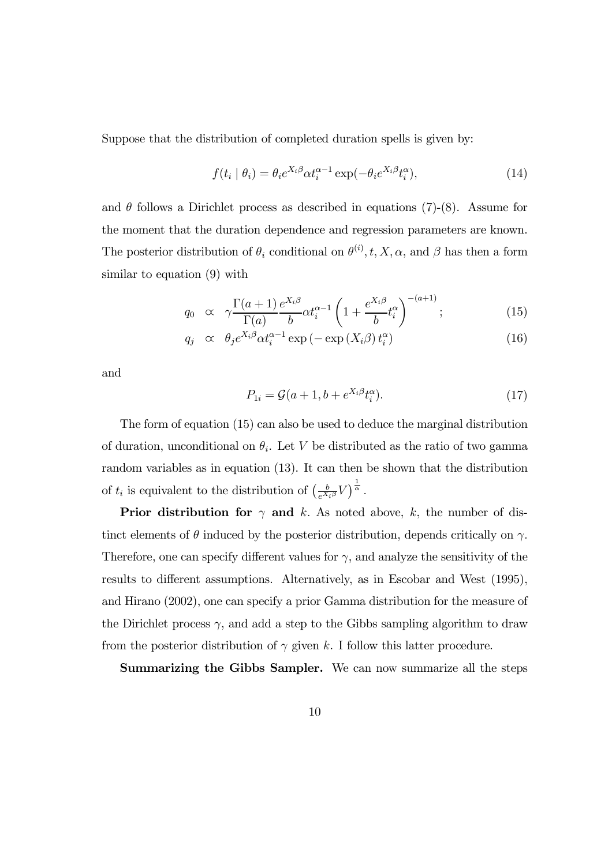Suppose that the distribution of completed duration spells is given by:

$$
f(t_i | \theta_i) = \theta_i e^{X_i \beta} \alpha t_i^{\alpha - 1} \exp(-\theta_i e^{X_i \beta} t_i^{\alpha}), \qquad (14)
$$

and  $\theta$  follows a Dirichlet process as described in equations (7)-(8). Assume for the moment that the duration dependence and regression parameters are known. The posterior distribution of  $\theta_i$  conditional on  $\theta^{(i)}$ , t, X,  $\alpha$ , and  $\beta$  has then a form similar to equation (9) with

$$
q_0 \propto \gamma \frac{\Gamma(a+1)}{\Gamma(a)} \frac{e^{X_i \beta}}{b} \alpha t_i^{\alpha-1} \left(1 + \frac{e^{X_i \beta}}{b} t_i^{\alpha}\right)^{-(a+1)}; \tag{15}
$$

$$
q_j \propto \theta_j e^{X_i \beta} \alpha t_i^{\alpha - 1} \exp\left(-\exp\left(X_i \beta\right) t_i^{\alpha}\right) \tag{16}
$$

and

$$
P_{1i} = \mathcal{G}(a+1, b+e^{X_i\beta}t_i^{\alpha}).
$$
\n(17)

The form of equation (15) can also be used to deduce the marginal distribution of duration, unconditional on  $\theta_i$ . Let V be distributed as the ratio of two gamma random variables as in equation (13). It can then be shown that the distribution of  $t_i$  is equivalent to the distribution of  $\left(\frac{b}{e^{X_i\beta}}V\right)^{\frac{1}{\alpha}}$ .

**Prior distribution for**  $\gamma$  and k. As noted above, k, the number of distinct elements of  $\theta$  induced by the posterior distribution, depends critically on  $\gamma$ . Therefore, one can specify different values for  $\gamma$ , and analyze the sensitivity of the results to different assumptions. Alternatively, as in Escobar and West (1995), and Hirano (2002), one can specify a prior Gamma distribution for the measure of the Dirichlet process  $\gamma$ , and add a step to the Gibbs sampling algorithm to draw from the posterior distribution of  $\gamma$  given k. I follow this latter procedure.

Summarizing the Gibbs Sampler. We can now summarize all the steps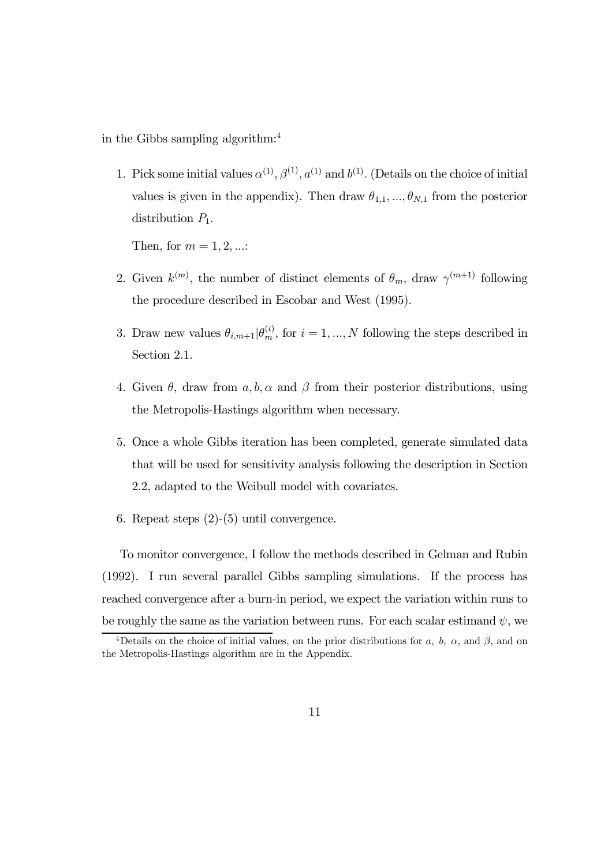in the Gibbs sampling algorithm:4

1. Pick some initial values  $\alpha^{(1)}, \beta^{(1)}, \alpha^{(1)}$  and  $b^{(1)}$ . (Details on the choice of initial values is given in the appendix). Then draw  $\theta_{1,1},...,\theta_{N,1}$  from the posterior distribution  $P_1$ .

Then, for  $m = 1, 2, ...$ :

- 2. Given  $k^{(m)}$ , the number of distinct elements of  $\theta_m$ , draw  $\gamma^{(m+1)}$  following the procedure described in Escobar and West (1995).
- 3. Draw new values  $\theta_{i,m+1} | \theta_m^{(i)}$ , for  $i = 1, ..., N$  following the steps described in Section 2.1.
- 4. Given  $\theta$ , draw from  $a, b, \alpha$  and  $\beta$  from their posterior distributions, using the Metropolis-Hastings algorithm when necessary.
- 5. Once a whole Gibbs iteration has been completed, generate simulated data that will be used for sensitivity analysis following the description in Section 2.2, adapted to the Weibull model with covariates.
- 6. Repeat steps (2)-(5) until convergence.

To monitor convergence, I follow the methods described in Gelman and Rubin (1992). I run several parallel Gibbs sampling simulations. If the process has reached convergence after a burn-in period, we expect the variation within runs to be roughly the same as the variation between runs. For each scalar estimand  $\psi$ , we

<sup>&</sup>lt;sup>4</sup>Details on the choice of initial values, on the prior distributions for a, b,  $\alpha$ , and  $\beta$ , and on the Metropolis-Hastings algorithm are in the Appendix.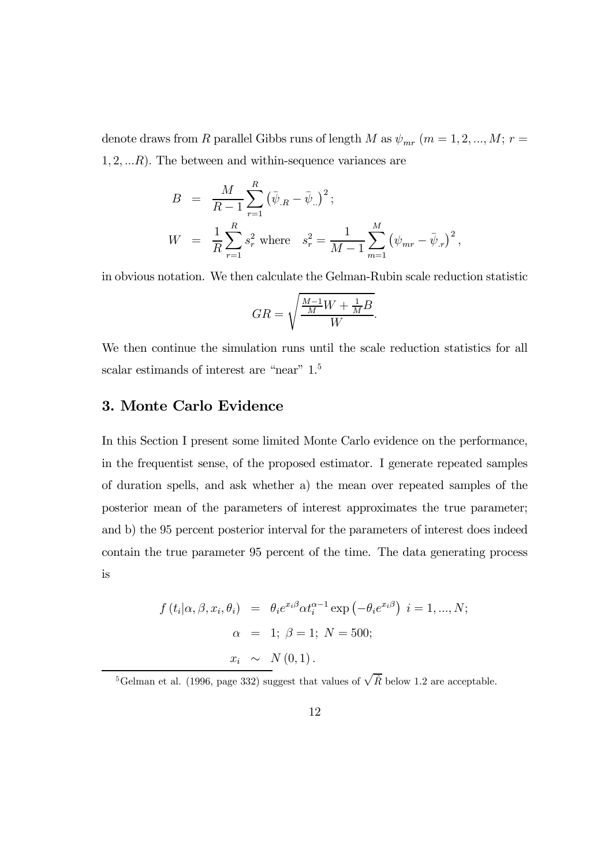denote draws from R parallel Gibbs runs of length M as  $\psi_{mr}$   $(m = 1, 2, ..., M; r =$  $1, 2, \ldots R$ ). The between and within-sequence variances are

$$
B = \frac{M}{R-1} \sum_{r=1}^{R} (\bar{\psi}_{.R} - \bar{\psi}_{..})^2;
$$
  
\n
$$
W = \frac{1}{R} \sum_{r=1}^{R} s_r^2 \text{ where } s_r^2 = \frac{1}{M-1} \sum_{m=1}^{M} (\psi_{mr} - \bar{\psi}_{.r})^2,
$$

in obvious notation. We then calculate the Gelman-Rubin scale reduction statistic

$$
GR = \sqrt{\frac{\frac{M-1}{M}W + \frac{1}{M}B}{W}}.
$$

We then continue the simulation runs until the scale reduction statistics for all scalar estimands of interest are "near"  $1<sup>5</sup>$ 

#### 3. Monte Carlo Evidence

In this Section I present some limited Monte Carlo evidence on the performance, in the frequentist sense, of the proposed estimator. I generate repeated samples of duration spells, and ask whether a) the mean over repeated samples of the posterior mean of the parameters of interest approximates the true parameter; and b) the 95 percent posterior interval for the parameters of interest does indeed contain the true parameter 95 percent of the time. The data generating process is

$$
f(t_i|\alpha, \beta, x_i, \theta_i) = \theta_i e^{x_i \beta} \alpha t_i^{\alpha - 1} \exp\left(-\theta_i e^{x_i \beta}\right) i = 1, ..., N;
$$
  
\n
$$
\alpha = 1; \ \beta = 1; \ N = 500;
$$
  
\n
$$
x_i \sim N(0, 1).
$$

<sup>5</sup>Gelman et al. (1996, page 332) suggest that values of  $\sqrt{\hat{R}}$  below 1.2 are acceptable.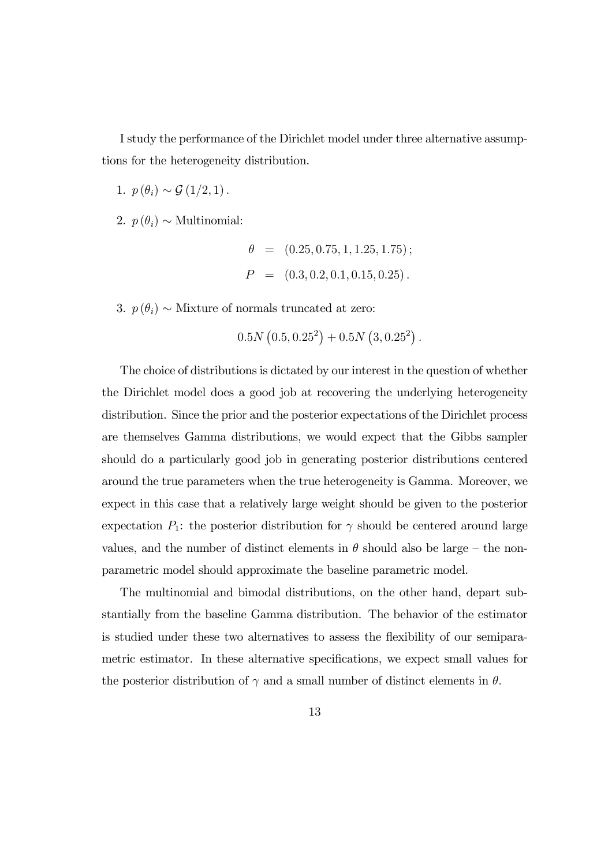I study the performance of the Dirichlet model under three alternative assumptions for the heterogeneity distribution.

1.  $p(\theta_i) \sim \mathcal{G}(1/2, 1)$ .

2.  $p(\theta_i) \sim \text{Multinomial:}$ 

$$
\theta = (0.25, 0.75, 1, 1.25, 1.75);
$$
  
\n
$$
P = (0.3, 0.2, 0.1, 0.15, 0.25).
$$

3.  $p(\theta_i) \sim$  Mixture of normals truncated at zero:

$$
0.5N(0.5, 0.252) + 0.5N(3, 0.252).
$$

The choice of distributions is dictated by our interest in the question of whether the Dirichlet model does a good job at recovering the underlying heterogeneity distribution. Since the prior and the posterior expectations of the Dirichlet process are themselves Gamma distributions, we would expect that the Gibbs sampler should do a particularly good job in generating posterior distributions centered around the true parameters when the true heterogeneity is Gamma. Moreover, we expect in this case that a relatively large weight should be given to the posterior expectation  $P_1$ : the posterior distribution for  $\gamma$  should be centered around large values, and the number of distinct elements in  $\theta$  should also be large – the nonparametric model should approximate the baseline parametric model.

The multinomial and bimodal distributions, on the other hand, depart substantially from the baseline Gamma distribution. The behavior of the estimator is studied under these two alternatives to assess the flexibility of our semiparametric estimator. In these alternative specifications, we expect small values for the posterior distribution of  $\gamma$  and a small number of distinct elements in  $\theta$ .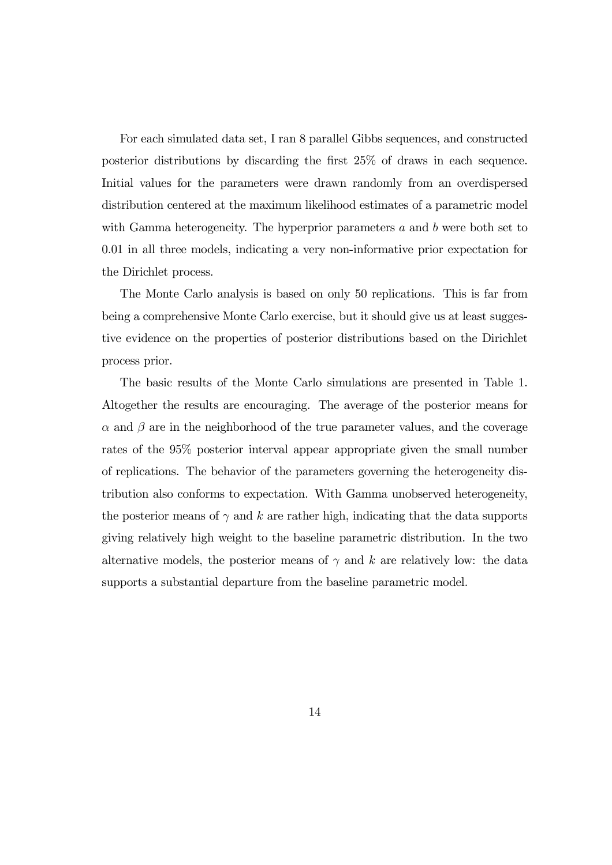For each simulated data set, I ran 8 parallel Gibbs sequences, and constructed posterior distributions by discarding the first 25% of draws in each sequence. Initial values for the parameters were drawn randomly from an overdispersed distribution centered at the maximum likelihood estimates of a parametric model with Gamma heterogeneity. The hyperprior parameters  $a$  and  $b$  were both set to 0.01 in all three models, indicating a very non-informative prior expectation for the Dirichlet process.

The Monte Carlo analysis is based on only 50 replications. This is far from being a comprehensive Monte Carlo exercise, but it should give us at least suggestive evidence on the properties of posterior distributions based on the Dirichlet process prior.

The basic results of the Monte Carlo simulations are presented in Table 1. Altogether the results are encouraging. The average of the posterior means for  $\alpha$  and  $\beta$  are in the neighborhood of the true parameter values, and the coverage rates of the 95% posterior interval appear appropriate given the small number of replications. The behavior of the parameters governing the heterogeneity distribution also conforms to expectation. With Gamma unobserved heterogeneity, the posterior means of  $\gamma$  and k are rather high, indicating that the data supports giving relatively high weight to the baseline parametric distribution. In the two alternative models, the posterior means of  $\gamma$  and k are relatively low: the data supports a substantial departure from the baseline parametric model.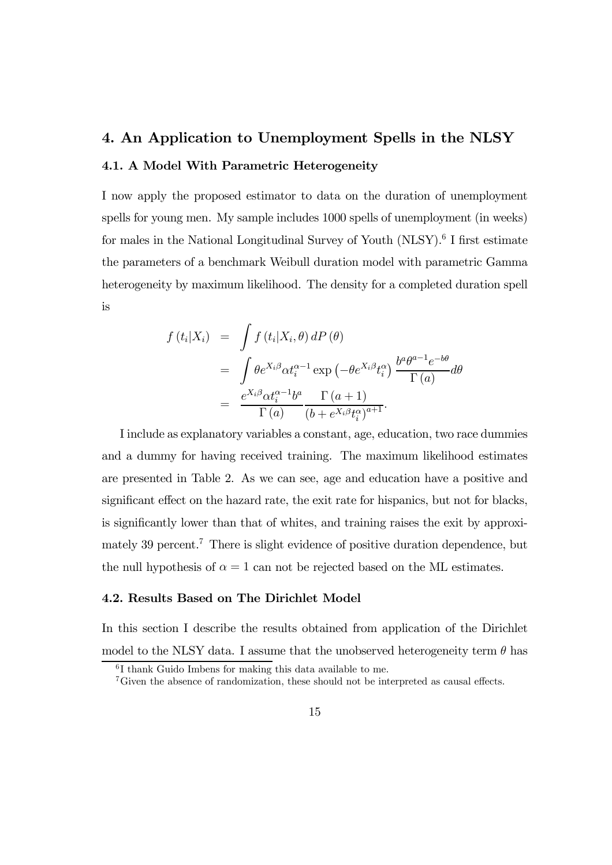## 4. An Application to Unemployment Spells in the NLSY 4.1. A Model With Parametric Heterogeneity

I now apply the proposed estimator to data on the duration of unemployment spells for young men. My sample includes 1000 spells of unemployment (in weeks) for males in the National Longitudinal Survey of Youth (NLSY).<sup>6</sup> I first estimate the parameters of a benchmark Weibull duration model with parametric Gamma heterogeneity by maximum likelihood. The density for a completed duration spell is

$$
f(t_i|X_i) = \int f(t_i|X_i, \theta) dP(\theta)
$$
  
= 
$$
\int \theta e^{X_i \beta} \alpha t_i^{\alpha-1} \exp(-\theta e^{X_i \beta} t_i^{\alpha}) \frac{b^a \theta^{a-1} e^{-b\theta}}{\Gamma(a)} d\theta
$$
  
= 
$$
\frac{e^{X_i \beta} \alpha t_i^{\alpha-1} b^a}{\Gamma(a)} \frac{\Gamma(a+1)}{(b + e^{X_i \beta} t_i^{\alpha})^{a+1}}.
$$

I include as explanatory variables a constant, age, education, two race dummies and a dummy for having received training. The maximum likelihood estimates are presented in Table 2. As we can see, age and education have a positive and significant effect on the hazard rate, the exit rate for hispanics, but not for blacks, is significantly lower than that of whites, and training raises the exit by approximately 39 percent.<sup>7</sup> There is slight evidence of positive duration dependence, but the null hypothesis of  $\alpha = 1$  can not be rejected based on the ML estimates.

#### 4.2. Results Based on The Dirichlet Model

In this section I describe the results obtained from application of the Dirichlet model to the NLSY data. I assume that the unobserved heterogeneity term  $\theta$  has

 ${}^{6}$ I thank Guido Imbens for making this data available to me.

<sup>7</sup>Given the absence of randomization, these should not be interpreted as causal effects.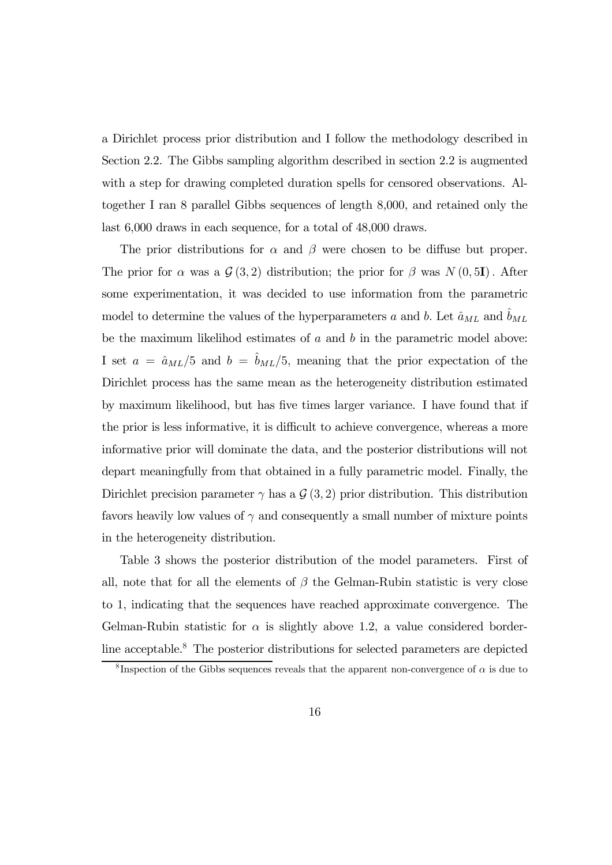a Dirichlet process prior distribution and I follow the methodology described in Section 2.2. The Gibbs sampling algorithm described in section 2.2 is augmented with a step for drawing completed duration spells for censored observations. Altogether I ran 8 parallel Gibbs sequences of length 8,000, and retained only the last 6,000 draws in each sequence, for a total of 48,000 draws.

The prior distributions for  $\alpha$  and  $\beta$  were chosen to be diffuse but proper. The prior for  $\alpha$  was a  $\mathcal{G}(3,2)$  distribution; the prior for  $\beta$  was  $N(0,5I)$ . After some experimentation, it was decided to use information from the parametric model to determine the values of the hyperparameters a and b. Let  $\hat{a}_{ML}$  and  $b_{ML}$ be the maximum likelihod estimates of  $a$  and  $b$  in the parametric model above: I set  $a = \hat{a}_{ML}/5$  and  $b = \hat{b}_{ML}/5$ , meaning that the prior expectation of the Dirichlet process has the same mean as the heterogeneity distribution estimated by maximum likelihood, but has five times larger variance. I have found that if the prior is less informative, it is difficult to achieve convergence, whereas a more informative prior will dominate the data, and the posterior distributions will not depart meaningfully from that obtained in a fully parametric model. Finally, the Dirichlet precision parameter  $\gamma$  has a  $\mathcal{G}(3, 2)$  prior distribution. This distribution favors heavily low values of  $\gamma$  and consequently a small number of mixture points in the heterogeneity distribution.

Table 3 shows the posterior distribution of the model parameters. First of all, note that for all the elements of  $\beta$  the Gelman-Rubin statistic is very close to 1, indicating that the sequences have reached approximate convergence. The Gelman-Rubin statistic for  $\alpha$  is slightly above 1.2, a value considered borderline acceptable.<sup>8</sup> The posterior distributions for selected parameters are depicted

<sup>&</sup>lt;sup>8</sup> Inspection of the Gibbs sequences reveals that the apparent non-convergence of  $\alpha$  is due to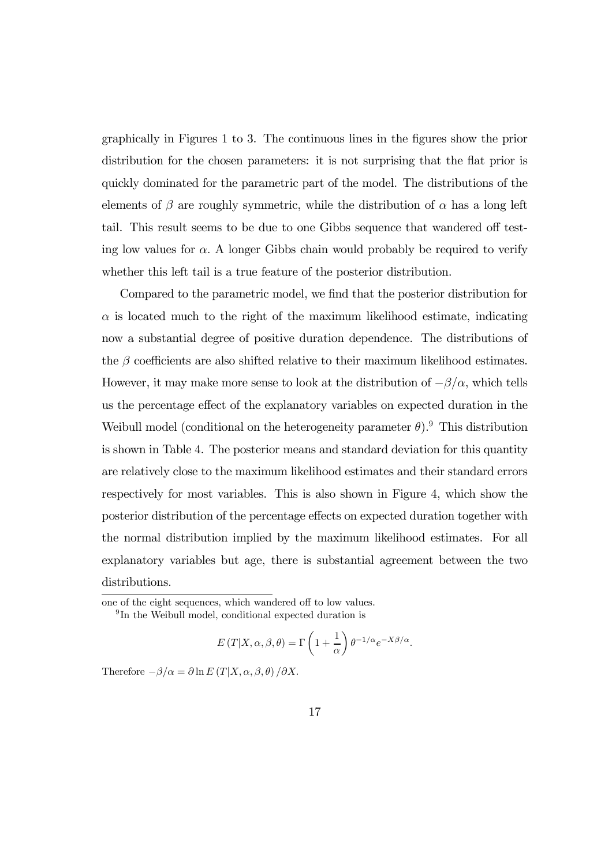graphically in Figures 1 to 3. The continuous lines in the figures show the prior distribution for the chosen parameters: it is not surprising that the flat prior is quickly dominated for the parametric part of the model. The distributions of the elements of  $\beta$  are roughly symmetric, while the distribution of  $\alpha$  has a long left tail. This result seems to be due to one Gibbs sequence that wandered off testing low values for  $\alpha$ . A longer Gibbs chain would probably be required to verify whether this left tail is a true feature of the posterior distribution.

Compared to the parametric model, we find that the posterior distribution for  $\alpha$  is located much to the right of the maximum likelihood estimate, indicating now a substantial degree of positive duration dependence. The distributions of the  $\beta$  coefficients are also shifted relative to their maximum likelihood estimates. However, it may make more sense to look at the distribution of  $-\beta/\alpha$ , which tells us the percentage effect of the explanatory variables on expected duration in the Weibull model (conditional on the heterogeneity parameter  $\theta$ ).<sup>9</sup> This distribution is shown in Table 4. The posterior means and standard deviation for this quantity are relatively close to the maximum likelihood estimates and their standard errors respectively for most variables. This is also shown in Figure 4, which show the posterior distribution of the percentage effects on expected duration together with the normal distribution implied by the maximum likelihood estimates. For all explanatory variables but age, there is substantial agreement between the two distributions.

one of the eight sequences, which wandered off to low values.

$$
E(T|X,\alpha,\beta,\theta) = \Gamma\left(1+\frac{1}{\alpha}\right)\theta^{-1/\alpha}e^{-X\beta/\alpha}.
$$

Therefore  $-\beta/\alpha = \partial \ln E(T|X,\alpha,\beta,\theta)/\partial X$ .

<sup>&</sup>lt;sup>9</sup>In the Weibull model, conditional expected duration is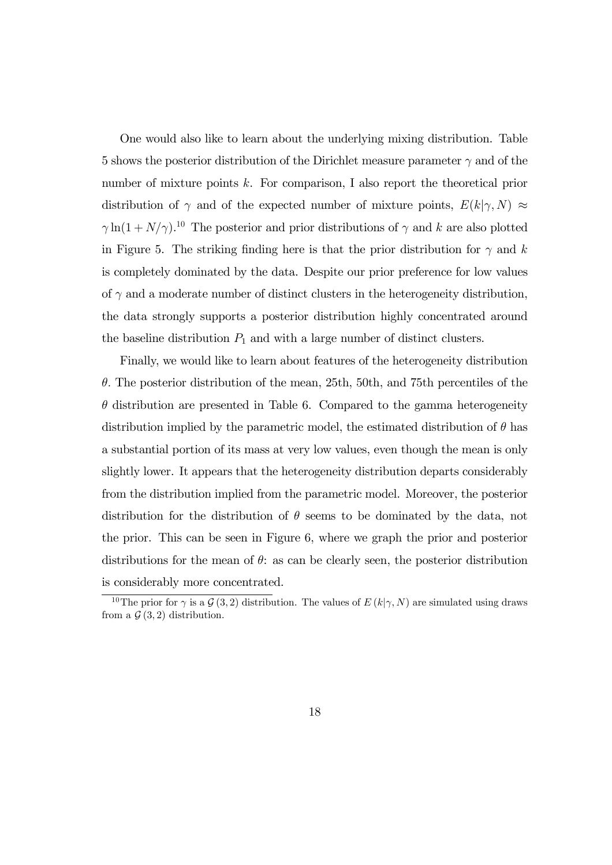One would also like to learn about the underlying mixing distribution. Table 5 shows the posterior distribution of the Dirichlet measure parameter  $\gamma$  and of the number of mixture points k. For comparison, I also report the theoretical prior distribution of  $\gamma$  and of the expected number of mixture points,  $E(k|\gamma, N) \approx$  $\gamma \ln(1 + N/\gamma)$ <sup>10</sup> The posterior and prior distributions of  $\gamma$  and k are also plotted in Figure 5. The striking finding here is that the prior distribution for  $\gamma$  and k is completely dominated by the data. Despite our prior preference for low values of  $\gamma$  and a moderate number of distinct clusters in the heterogeneity distribution, the data strongly supports a posterior distribution highly concentrated around the baseline distribution  $P_1$  and with a large number of distinct clusters.

Finally, we would like to learn about features of the heterogeneity distribution  $\theta$ . The posterior distribution of the mean, 25th, 50th, and 75th percentiles of the  $\theta$  distribution are presented in Table 6. Compared to the gamma heterogeneity distribution implied by the parametric model, the estimated distribution of  $\theta$  has a substantial portion of its mass at very low values, even though the mean is only slightly lower. It appears that the heterogeneity distribution departs considerably from the distribution implied from the parametric model. Moreover, the posterior distribution for the distribution of  $\theta$  seems to be dominated by the data, not the prior. This can be seen in Figure 6, where we graph the prior and posterior distributions for the mean of  $\theta$ : as can be clearly seen, the posterior distribution is considerably more concentrated.

<sup>&</sup>lt;sup>10</sup>The prior for  $\gamma$  is a  $\mathcal{G}(3, 2)$  distribution. The values of  $E(k|\gamma, N)$  are simulated using draws from a  $\mathcal{G}(3,2)$  distribution.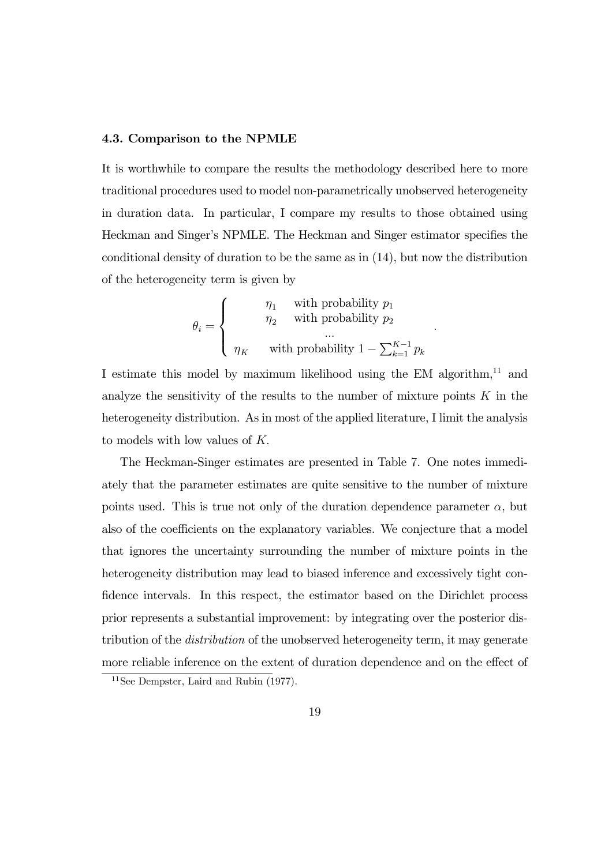#### 4.3. Comparison to the NPMLE

It is worthwhile to compare the results the methodology described here to more traditional procedures used to model non-parametrically unobserved heterogeneity in duration data. In particular, I compare my results to those obtained using Heckman and Singer's NPMLE. The Heckman and Singer estimator specifies the conditional density of duration to be the same as in (14), but now the distribution of the heterogeneity term is given by

$$
\theta_i = \left\{ \begin{array}{cl} \eta_1 & \text{with probability } p_1 \\ \eta_2 & \text{with probability } p_2 \\ \dots \\ \eta_K & \text{with probability } 1 - \sum_{k=1}^{K-1} p_k \end{array} \right.
$$

.

I estimate this model by maximum likelihood using the EM algorithm, $^{11}$  and analyze the sensitivity of the results to the number of mixture points  $K$  in the heterogeneity distribution. As in most of the applied literature, I limit the analysis to models with low values of K.

The Heckman-Singer estimates are presented in Table 7. One notes immediately that the parameter estimates are quite sensitive to the number of mixture points used. This is true not only of the duration dependence parameter  $\alpha$ , but also of the coefficients on the explanatory variables. We conjecture that a model that ignores the uncertainty surrounding the number of mixture points in the heterogeneity distribution may lead to biased inference and excessively tight confidence intervals. In this respect, the estimator based on the Dirichlet process prior represents a substantial improvement: by integrating over the posterior distribution of the *distribution* of the unobserved heterogeneity term, it may generate more reliable inference on the extent of duration dependence and on the effect of

<sup>11</sup>See Dempster, Laird and Rubin (1977).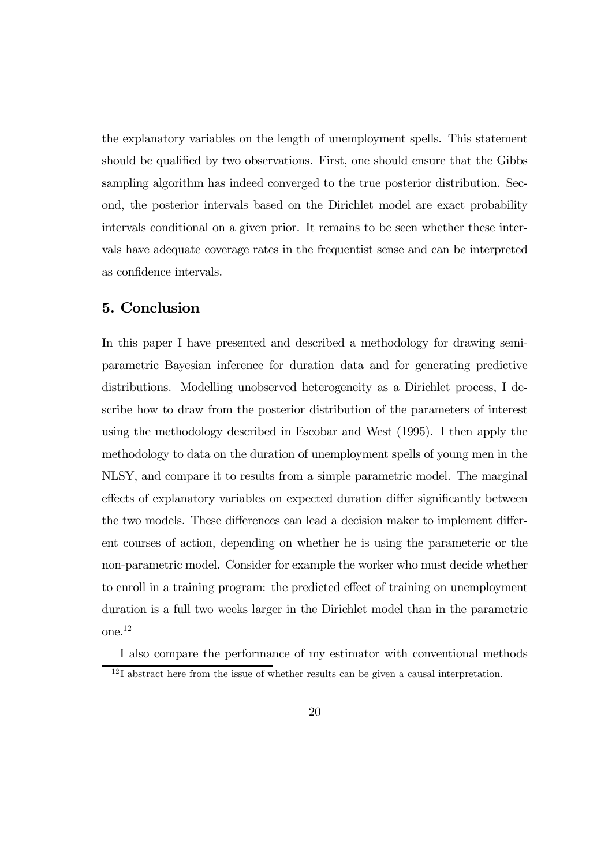the explanatory variables on the length of unemployment spells. This statement should be qualified by two observations. First, one should ensure that the Gibbs sampling algorithm has indeed converged to the true posterior distribution. Second, the posterior intervals based on the Dirichlet model are exact probability intervals conditional on a given prior. It remains to be seen whether these intervals have adequate coverage rates in the frequentist sense and can be interpreted as confidence intervals.

#### 5. Conclusion

In this paper I have presented and described a methodology for drawing semiparametric Bayesian inference for duration data and for generating predictive distributions. Modelling unobserved heterogeneity as a Dirichlet process, I describe how to draw from the posterior distribution of the parameters of interest using the methodology described in Escobar and West (1995). I then apply the methodology to data on the duration of unemployment spells of young men in the NLSY, and compare it to results from a simple parametric model. The marginal effects of explanatory variables on expected duration differ significantly between the two models. These differences can lead a decision maker to implement different courses of action, depending on whether he is using the parameteric or the non-parametric model. Consider for example the worker who must decide whether to enroll in a training program: the predicted effect of training on unemployment duration is a full two weeks larger in the Dirichlet model than in the parametric one.12

I also compare the performance of my estimator with conventional methods

 $12$ I abstract here from the issue of whether results can be given a causal interpretation.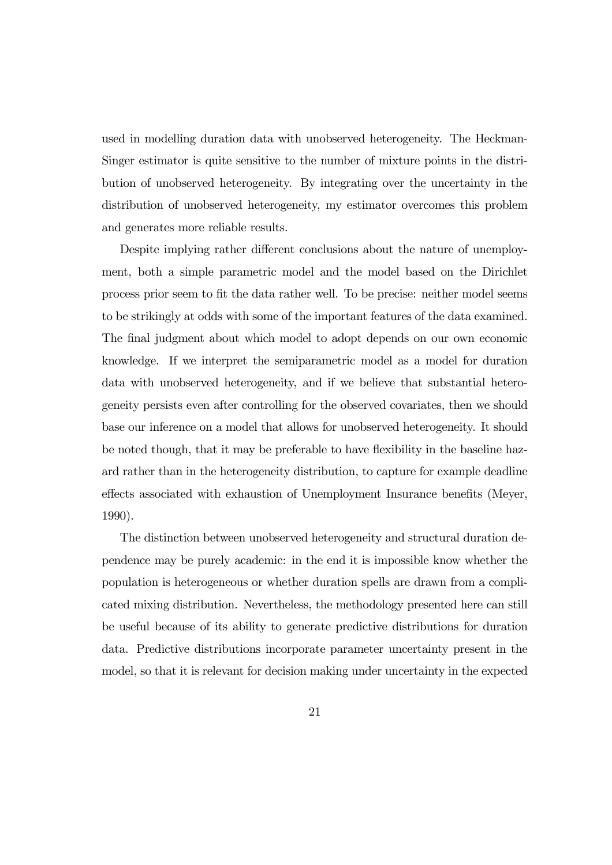used in modelling duration data with unobserved heterogeneity. The Heckman-Singer estimator is quite sensitive to the number of mixture points in the distribution of unobserved heterogeneity. By integrating over the uncertainty in the distribution of unobserved heterogeneity, my estimator overcomes this problem and generates more reliable results.

Despite implying rather different conclusions about the nature of unemployment, both a simple parametric model and the model based on the Dirichlet process prior seem to fit the data rather well. To be precise: neither model seems to be strikingly at odds with some of the important features of the data examined. The final judgment about which model to adopt depends on our own economic knowledge. If we interpret the semiparametric model as a model for duration data with unobserved heterogeneity, and if we believe that substantial heterogeneity persists even after controlling for the observed covariates, then we should base our inference on a model that allows for unobserved heterogeneity. It should be noted though, that it may be preferable to have flexibility in the baseline hazard rather than in the heterogeneity distribution, to capture for example deadline effects associated with exhaustion of Unemployment Insurance benefits (Meyer, 1990).

The distinction between unobserved heterogeneity and structural duration dependence may be purely academic: in the end it is impossible know whether the population is heterogeneous or whether duration spells are drawn from a complicated mixing distribution. Nevertheless, the methodology presented here can still be useful because of its ability to generate predictive distributions for duration data. Predictive distributions incorporate parameter uncertainty present in the model, so that it is relevant for decision making under uncertainty in the expected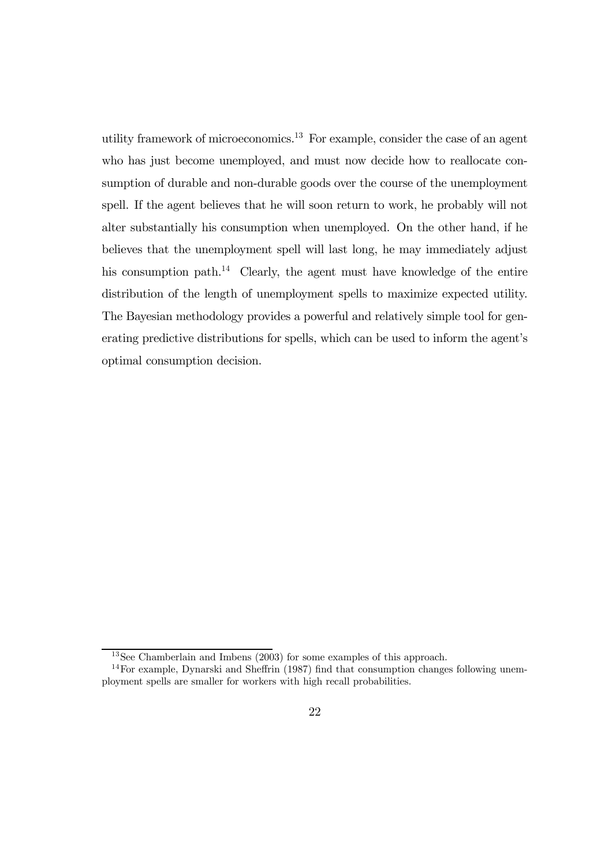utility framework of microeconomics.13 For example, consider the case of an agent who has just become unemployed, and must now decide how to reallocate consumption of durable and non-durable goods over the course of the unemployment spell. If the agent believes that he will soon return to work, he probably will not alter substantially his consumption when unemployed. On the other hand, if he believes that the unemployment spell will last long, he may immediately adjust his consumption path.<sup>14</sup> Clearly, the agent must have knowledge of the entire distribution of the length of unemployment spells to maximize expected utility. The Bayesian methodology provides a powerful and relatively simple tool for generating predictive distributions for spells, which can be used to inform the agent's optimal consumption decision.

<sup>13</sup>See Chamberlain and Imbens (2003) for some examples of this approach.

 $14$  For example, Dynarski and Sheffrin (1987) find that consumption changes following unemployment spells are smaller for workers with high recall probabilities.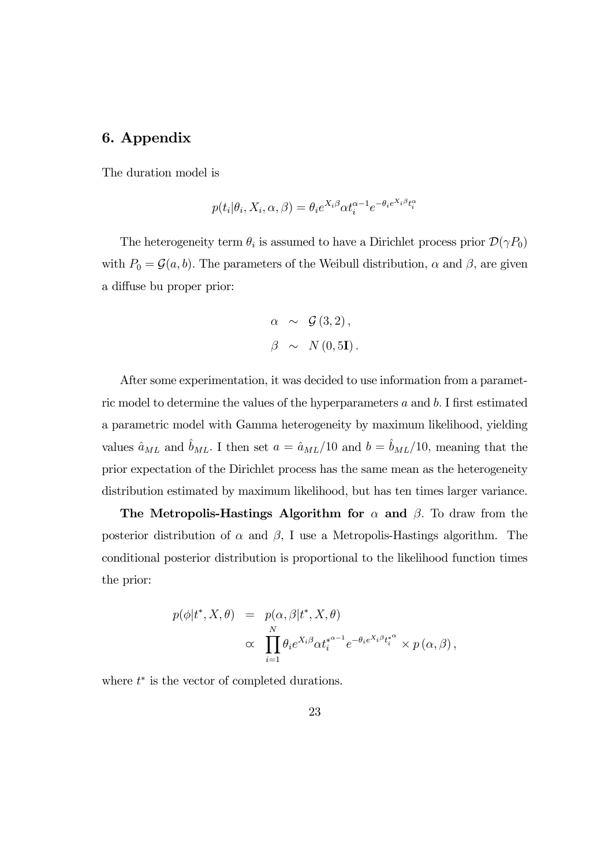#### 6. Appendix

The duration model is

$$
p(t_i|\theta_i, X_i, \alpha, \beta) = \theta_i e^{X_i \beta} \alpha t_i^{\alpha - 1} e^{-\theta_i e^{X_i \beta} t_i^{\alpha}}
$$

The heterogeneity term  $\theta_i$  is assumed to have a Dirichlet process prior  $\mathcal{D}(\gamma P_0)$ with  $P_0 = \mathcal{G}(a, b)$ . The parameters of the Weibull distribution,  $\alpha$  and  $\beta$ , are given a diffuse bu proper prior:

$$
\alpha \sim \mathcal{G}(3,2),
$$
  

$$
\beta \sim N(0,5\mathbf{I}).
$$

After some experimentation, it was decided to use information from a parametric model to determine the values of the hyperparameters  $a$  and  $b$ . I first estimated a parametric model with Gamma heterogeneity by maximum likelihood, yielding values  $\hat{a}_{ML}$  and  $\hat{b}_{ML}$ . I then set  $a = \hat{a}_{ML}/10$  and  $b = \hat{b}_{ML}/10$ , meaning that the prior expectation of the Dirichlet process has the same mean as the heterogeneity distribution estimated by maximum likelihood, but has ten times larger variance.

The Metropolis-Hastings Algorithm for  $\alpha$  and  $\beta$ . To draw from the posterior distribution of  $\alpha$  and  $\beta$ , I use a Metropolis-Hastings algorithm. The conditional posterior distribution is proportional to the likelihood function times the prior:

$$
p(\phi|t^*, X, \theta) = p(\alpha, \beta|t^*, X, \theta)
$$
  
 
$$
\propto \prod_{i=1}^N \theta_i e^{X_i \beta} \alpha t_i^{*^{\alpha-1}} e^{-\theta_i e^{X_i \beta} t_i^{*^{\alpha}}} \times p(\alpha, \beta),
$$

where  $t^*$  is the vector of completed durations.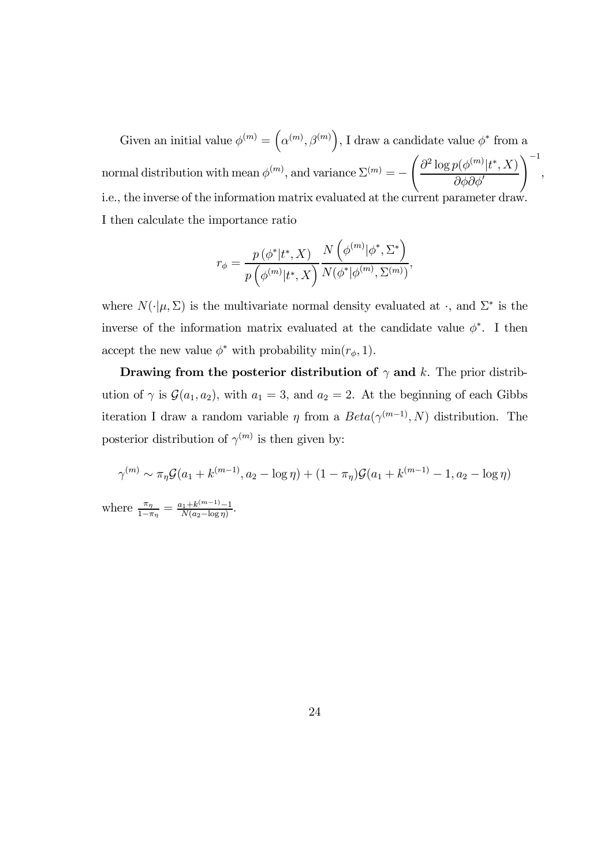Given an initial value  $\phi^{(m)} = (\alpha^{(m)}, \beta^{(m)})$ , I draw a candidate value  $\phi^*$  from a normal distribution with mean  $\phi^{(m)}$ , and variance  $\Sigma^{(m)} = \int \frac{\partial^2 \log p(\phi^{(m)}|t^*,X)}{dt}$ ∂φ∂φ′  $\setminus$   $^{-1}$ i.e., the inverse of the information matrix evaluated at the current parameter draw. I then calculate the importance ratio

,

$$
r_{\phi} = \frac{p(\phi^*|t^*, X)}{p(\phi^{(m)}|t^*, X)} \frac{N(\phi^{(m)}|\phi^*, \Sigma^*)}{N(\phi^*|\phi^{(m)}, \Sigma^{(m)})},
$$

where  $N(\cdot|\mu, \Sigma)$  is the multivariate normal density evaluated at  $\cdot$ , and  $\Sigma^*$  is the inverse of the information matrix evaluated at the candidate value  $\phi^*$ . I then accept the new value  $\phi^*$  with probability min $(r_{\phi}, 1)$ .

Drawing from the posterior distribution of  $\gamma$  and k. The prior distribution of  $\gamma$  is  $\mathcal{G}(a_1, a_2)$ , with  $a_1 = 3$ , and  $a_2 = 2$ . At the beginning of each Gibbs iteration I draw a random variable  $\eta$  from a  $Beta(\gamma^{(m-1)}, N)$  distribution. The posterior distribution of  $\gamma^{(m)}$  is then given by:

$$
\gamma^{(m)} \sim \pi_{\eta} \mathcal{G}(a_1 + k^{(m-1)}, a_2 - \log \eta) + (1 - \pi_{\eta}) \mathcal{G}(a_1 + k^{(m-1)} - 1, a_2 - \log \eta)
$$
  
where 
$$
\frac{\pi_{\eta}}{1 - \pi_{\eta}} = \frac{a_1 + k^{(m-1)} - 1}{N(a_2 - \log \eta)}.
$$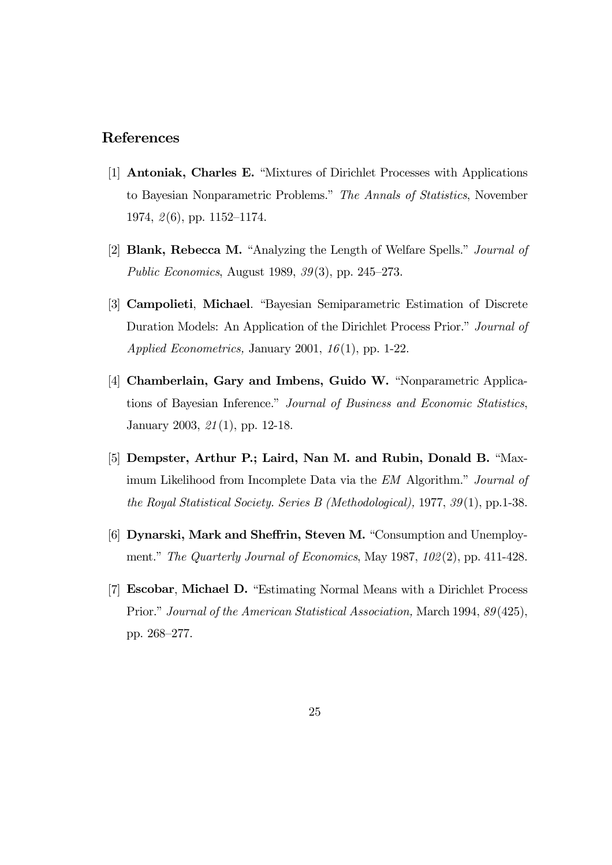#### References

- [1] Antoniak, Charles E. "Mixtures of Dirichlet Processes with Applications to Bayesian Nonparametric Problems." The Annals of Statistics, November 1974, 2(6), pp. 1152—1174.
- [2] Blank, Rebecca M. "Analyzing the Length of Welfare Spells." Journal of Public Economics, August 1989, 39(3), pp. 245—273.
- [3] Campolieti, Michael. "Bayesian Semiparametric Estimation of Discrete Duration Models: An Application of the Dirichlet Process Prior." Journal of Applied Econometrics, January 2001,  $16(1)$ , pp. 1-22.
- [4] Chamberlain, Gary and Imbens, Guido W. "Nonparametric Applications of Bayesian Inference." Journal of Business and Economic Statistics, January 2003, 21(1), pp. 12-18.
- [5] Dempster, Arthur P.; Laird, Nan M. and Rubin, Donald B. "Maximum Likelihood from Incomplete Data via the EM Algorithm." Journal of the Royal Statistical Society. Series B (Methodological), 1977, 39(1), pp.1-38.
- [6] Dynarski, Mark and Sheffrin, Steven M. "Consumption and Unemployment." The Quarterly Journal of Economics, May 1987, 102(2), pp. 411-428.
- [7] Escobar, Michael D. "Estimating Normal Means with a Dirichlet Process Prior." Journal of the American Statistical Association, March 1994, 89(425), pp. 268—277.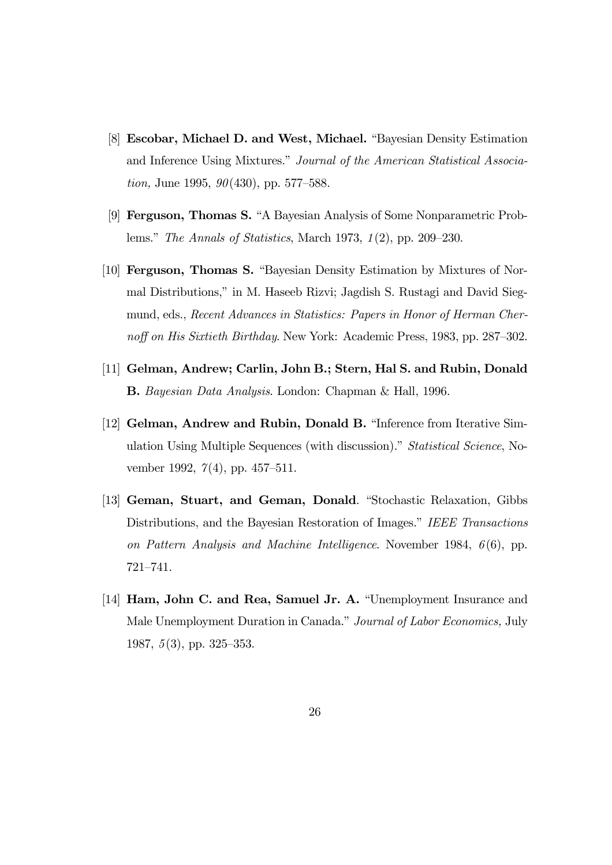- [8] Escobar, Michael D. and West, Michael. "Bayesian Density Estimation and Inference Using Mixtures." Journal of the American Statistical Associa*tion*, June 1995,  $90(430)$ , pp. 577–588.
- [9] Ferguson, Thomas S. "A Bayesian Analysis of Some Nonparametric Problems." The Annals of Statistics, March 1973, 1(2), pp. 209—230.
- [10] Ferguson, Thomas S. "Bayesian Density Estimation by Mixtures of Normal Distributions," in M. Haseeb Rizvi; Jagdish S. Rustagi and David Siegmund, eds., Recent Advances in Statistics: Papers in Honor of Herman Chernoff on His Sixtieth Birthday. New York: Academic Press, 1983, pp. 287—302.
- [11] Gelman, Andrew; Carlin, John B.; Stern, Hal S. and Rubin, Donald B. Bayesian Data Analysis. London: Chapman & Hall, 1996.
- [12] Gelman, Andrew and Rubin, Donald B. "Inference from Iterative Simulation Using Multiple Sequences (with discussion)." Statistical Science, November 1992, 7(4), pp. 457—511.
- [13] Geman, Stuart, and Geman, Donald. "Stochastic Relaxation, Gibbs Distributions, and the Bayesian Restoration of Images." IEEE Transactions on Pattern Analysis and Machine Intelligence. November 1984, 6(6), pp. 721—741.
- [14] Ham, John C. and Rea, Samuel Jr. A. "Unemployment Insurance and Male Unemployment Duration in Canada." Journal of Labor Economics, July 1987, 5(3), pp. 325—353.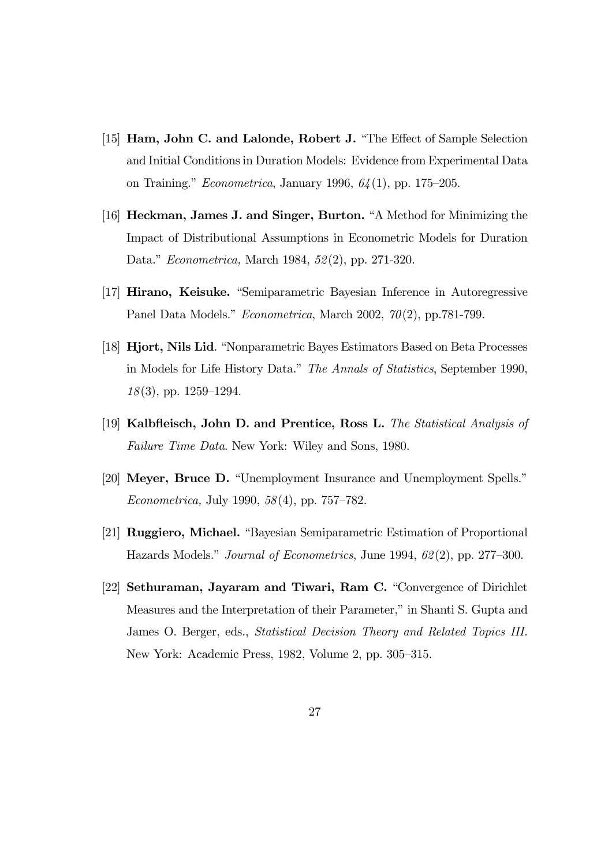- [15] Ham, John C. and Lalonde, Robert J. "The Effect of Sample Selection and Initial Conditions in Duration Models: Evidence from Experimental Data on Training." *Econometrica*, January 1996,  $64(1)$ , pp. 175–205.
- [16] Heckman, James J. and Singer, Burton. "A Method for Minimizing the Impact of Distributional Assumptions in Econometric Models for Duration Data." Econometrica, March 1984, 52(2), pp. 271-320.
- [17] Hirano, Keisuke. "Semiparametric Bayesian Inference in Autoregressive Panel Data Models." Econometrica, March 2002, 70(2), pp.781-799.
- [18] Hjort, Nils Lid. "Nonparametric Bayes Estimators Based on Beta Processes in Models for Life History Data." The Annals of Statistics, September 1990, 18(3), pp. 1259—1294.
- [19] Kalbfleisch, John D. and Prentice, Ross L. The Statistical Analysis of Failure Time Data. New York: Wiley and Sons, 1980.
- [20] Meyer, Bruce D. "Unemployment Insurance and Unemployment Spells." Econometrica, July 1990, 58(4), pp. 757—782.
- [21] Ruggiero, Michael. "Bayesian Semiparametric Estimation of Proportional Hazards Models." Journal of Econometrics, June 1994, 62(2), pp. 277—300.
- [22] Sethuraman, Jayaram and Tiwari, Ram C. "Convergence of Dirichlet Measures and the Interpretation of their Parameter," in Shanti S. Gupta and James O. Berger, eds., Statistical Decision Theory and Related Topics III. New York: Academic Press, 1982, Volume 2, pp. 305—315.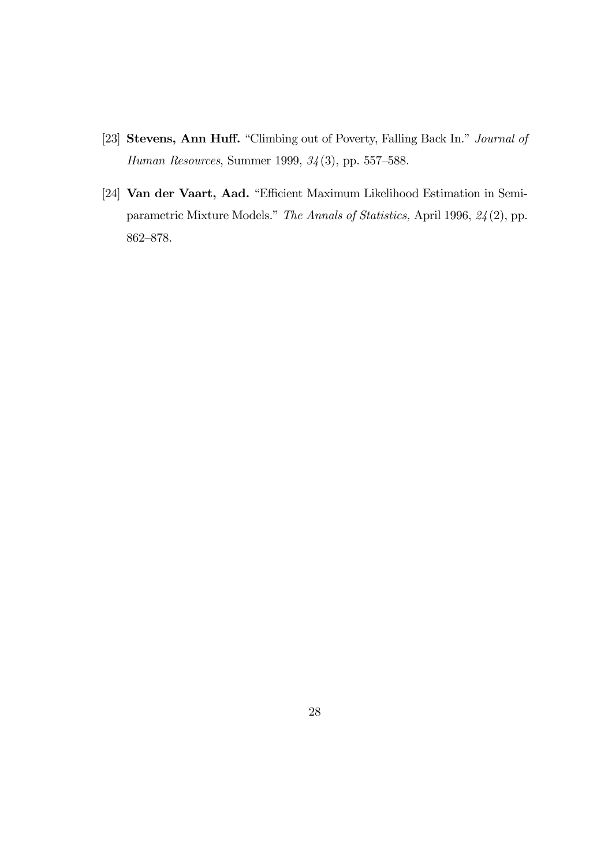- [23] Stevens, Ann Huff. "Climbing out of Poverty, Falling Back In." Journal of Human Resources, Summer 1999, 34(3), pp. 557—588.
- [24] Van der Vaart, Aad. "Efficient Maximum Likelihood Estimation in Semiparametric Mixture Models." The Annals of Statistics, April 1996, 24(2), pp. 862—878.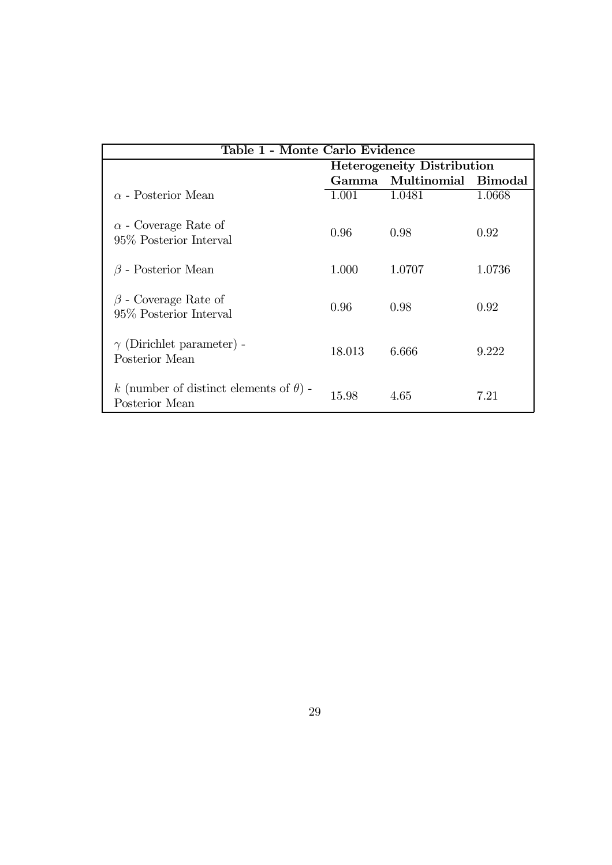| Table 1 - Monte Carlo Evidence                                   |                                   |                           |        |  |  |
|------------------------------------------------------------------|-----------------------------------|---------------------------|--------|--|--|
|                                                                  | <b>Heterogeneity Distribution</b> |                           |        |  |  |
|                                                                  |                                   | Gamma Multinomial Bimodal |        |  |  |
| $\alpha$ - Posterior Mean                                        | 1.001                             | 1.0481                    | 1.0668 |  |  |
| $\alpha$ - Coverage Rate of<br>95\% Posterior Interval           | 0.96                              | 0.98                      | 0.92   |  |  |
| $\beta$ - Posterior Mean                                         | 1.000                             | 1.0707                    | 1.0736 |  |  |
| $\beta$ - Coverage Rate of<br>95\% Posterior Interval            | 0.96                              | 0.98                      | 0.92   |  |  |
| $\gamma$ (Dirichlet parameter) -<br>Posterior Mean               | 18.013                            | 6.666                     | 9.222  |  |  |
| k (number of distinct elements of $\theta$ ) -<br>Posterior Mean | 15.98                             | 4 65                      | 7 21   |  |  |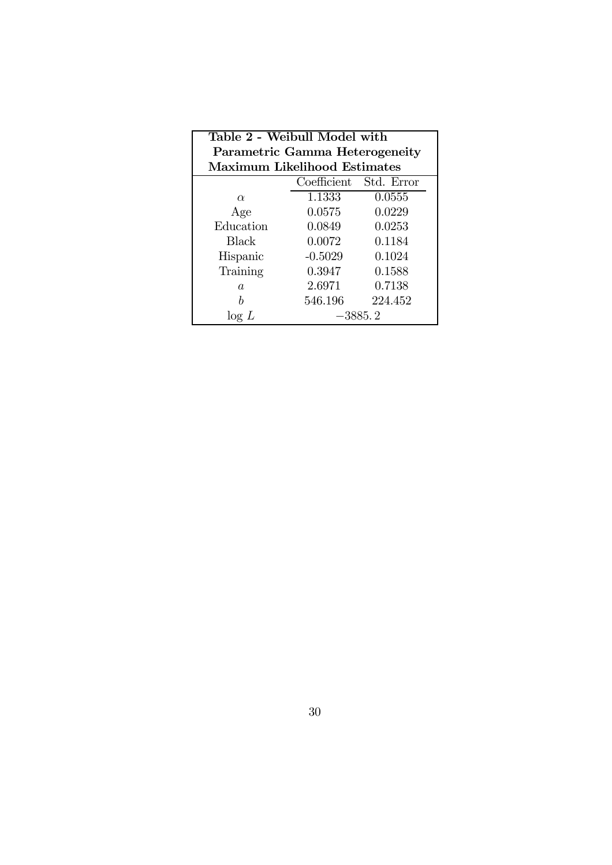| Table 2 - Weibull Model with |                                |           |  |  |  |  |
|------------------------------|--------------------------------|-----------|--|--|--|--|
|                              | Parametric Gamma Heterogeneity |           |  |  |  |  |
|                              | Maximum Likelihood Estimates   |           |  |  |  |  |
|                              | Coefficient Std. Error         |           |  |  |  |  |
| $\alpha$                     | 1.1333                         | 0.0555    |  |  |  |  |
| Age                          | 0.0575                         | 0.0229    |  |  |  |  |
| Education                    | 0.0849                         | 0.0253    |  |  |  |  |
| Black                        | 0.0072                         | 0.1184    |  |  |  |  |
| Hispanic                     | $-0.5029$                      | 0.1024    |  |  |  |  |
| Training                     | 0.3947                         | 0.1588    |  |  |  |  |
| $\overline{a}$               | 2.6971                         | 0.7138    |  |  |  |  |
| h                            | 546.196                        | 224.452   |  |  |  |  |
| $\log L$                     |                                | $-3885.2$ |  |  |  |  |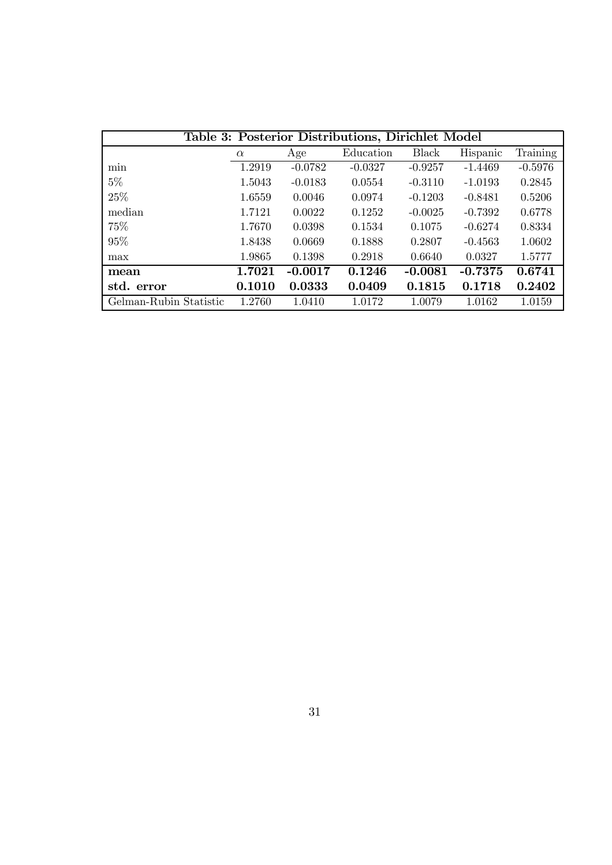| Table 3: Posterior Distributions, Dirichlet Model |          |           |           |           |           |           |
|---------------------------------------------------|----------|-----------|-----------|-----------|-----------|-----------|
|                                                   | $\alpha$ | Age       | Education | Black     | Hispanic  | Training  |
| min                                               | 1.2919   | $-0.0782$ | $-0.0327$ | $-0.9257$ | $-1.4469$ | $-0.5976$ |
| $5\%$                                             | 1.5043   | $-0.0183$ | 0.0554    | $-0.3110$ | $-1.0193$ | 0.2845    |
| 25%                                               | 1.6559   | 0.0046    | 0.0974    | $-0.1203$ | $-0.8481$ | 0.5206    |
| median                                            | 1.7121   | 0.0022    | 0.1252    | $-0.0025$ | $-0.7392$ | 0.6778    |
| 75%                                               | 1.7670   | 0.0398    | 0.1534    | 0.1075    | $-0.6274$ | 0.8334    |
| 95%                                               | 1.8438   | 0.0669    | 0.1888    | 0.2807    | $-0.4563$ | 1.0602    |
| max                                               | 1.9865   | 0.1398    | 0.2918    | 0.6640    | 0.0327    | 1.5777    |
| mean                                              | 1.7021   | $-0.0017$ | 0.1246    | $-0.0081$ | $-0.7375$ | 0.6741    |
| std.<br>error                                     | 0.1010   | 0.0333    | 0.0409    | 0.1815    | 0.1718    | 0.2402    |
| Gelman-Rubin Statistic                            | 1.2760   | 1.0410    | 1.0172    | 1.0079    | 1.0162    | 1.0159    |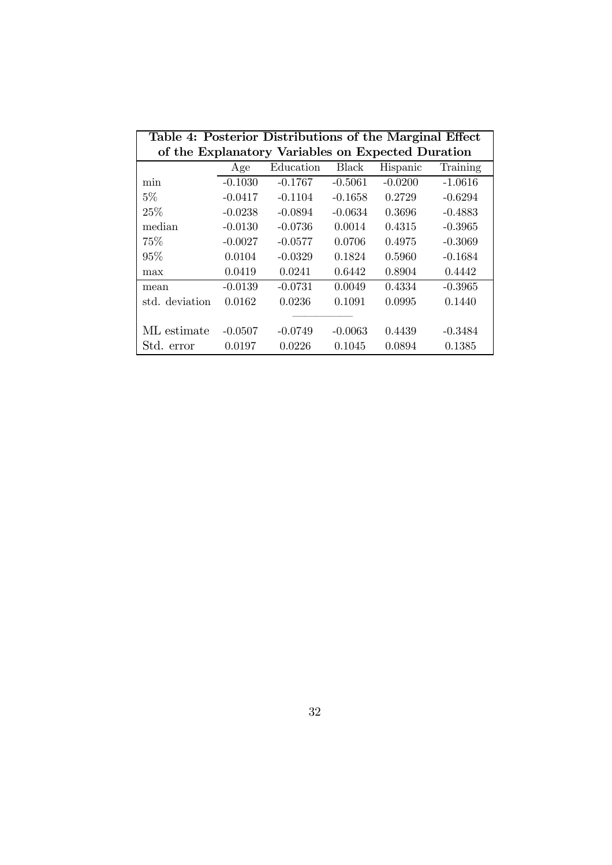| Table 4: Posterior Distributions of the Marginal Effect |           |           |              |           |           |  |
|---------------------------------------------------------|-----------|-----------|--------------|-----------|-----------|--|
| of the Explanatory Variables on Expected Duration       |           |           |              |           |           |  |
|                                                         | Age       | Education | <b>Black</b> | Hispanic  | Training  |  |
| min                                                     | $-0.1030$ | $-0.1767$ | $-0.5061$    | $-0.0200$ | $-1.0616$ |  |
| $5\%$                                                   | $-0.0417$ | $-0.1104$ | $-0.1658$    | 0.2729    | $-0.6294$ |  |
| 25%                                                     | $-0.0238$ | $-0.0894$ | $-0.0634$    | 0.3696    | $-0.4883$ |  |
| median                                                  | $-0.0130$ | $-0.0736$ | 0.0014       | 0.4315    | $-0.3965$ |  |
| 75%                                                     | $-0.0027$ | $-0.0577$ | 0.0706       | 0.4975    | $-0.3069$ |  |
| 95%                                                     | 0.0104    | $-0.0329$ | 0.1824       | 0.5960    | $-0.1684$ |  |
| max                                                     | 0.0419    | 0.0241    | 0.6442       | 0.8904    | 0.4442    |  |
| mean                                                    | $-0.0139$ | $-0.0731$ | 0.0049       | 0.4334    | $-0.3965$ |  |
| std. deviation                                          | 0.0162    | 0.0236    | 0.1091       | 0.0995    | 0.1440    |  |
|                                                         |           |           |              |           |           |  |
| ML estimate                                             | $-0.0507$ | $-0.0749$ | $-0.0063$    | 0.4439    | $-0.3484$ |  |
| Std. error                                              | 0.0197    | 0.0226    | 0.1045       | 0.0894    | 0.1385    |  |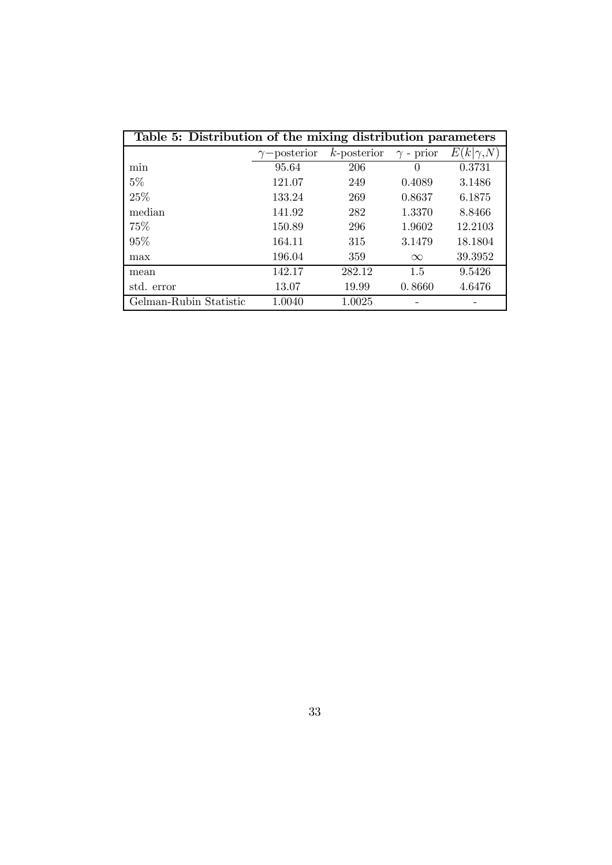| Table 5: Distribution of the mixing distribution parameters |                     |                |                  |                  |  |  |
|-------------------------------------------------------------|---------------------|----------------|------------------|------------------|--|--|
|                                                             | $\gamma$ -posterior | $k$ -posterior | $\gamma$ - prior | $E(k \gamma, N)$ |  |  |
| min                                                         | 95.64               | 206            | $\Omega$         | 0.3731           |  |  |
| $5\%$                                                       | 121.07              | 249            | 0.4089           | 3.1486           |  |  |
| 25%                                                         | 133.24              | 269            | 0.8637           | 6.1875           |  |  |
| median                                                      | 141.92              | 282            | 1.3370           | 8.8466           |  |  |
| 75\%                                                        | 150.89              | 296            | 1.9602           | 12.2103          |  |  |
| 95%                                                         | 164.11              | 315            | 3.1479           | 18.1804          |  |  |
| max                                                         | 196.04              | 359            | $\infty$         | 39.3952          |  |  |
| mean                                                        | 142.17              | 282.12         | 1.5              | 9.5426           |  |  |
| std. error                                                  | 13.07               | 19.99          | 0.8660           | 4.6476           |  |  |
| Gelman-Rubin Statistic                                      | 1.0040              | 1.0025         |                  |                  |  |  |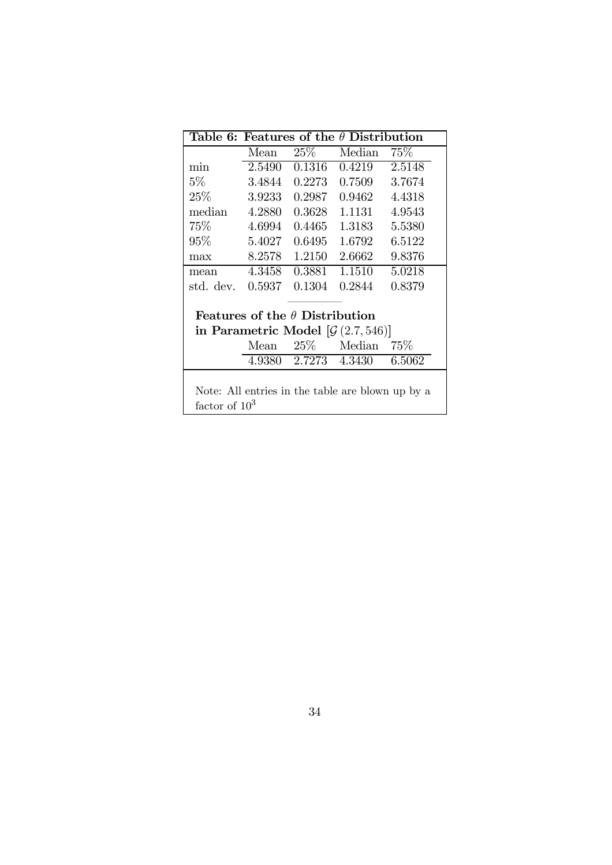| 2.5148                                        |  |  |  |  |  |
|-----------------------------------------------|--|--|--|--|--|
| 3.7674                                        |  |  |  |  |  |
| 4.4318                                        |  |  |  |  |  |
| 4.9543                                        |  |  |  |  |  |
| 5.5380                                        |  |  |  |  |  |
| 6.5122                                        |  |  |  |  |  |
| 9.8376                                        |  |  |  |  |  |
| 5.0218                                        |  |  |  |  |  |
| 0.8379                                        |  |  |  |  |  |
|                                               |  |  |  |  |  |
| Features of the $\theta$ Distribution         |  |  |  |  |  |
| in Parametric Model $[\mathcal{G}(2.7, 546)]$ |  |  |  |  |  |
|                                               |  |  |  |  |  |
| 6.5062                                        |  |  |  |  |  |
|                                               |  |  |  |  |  |

Note: All entries in the table are blown up by a factor of  $10^3$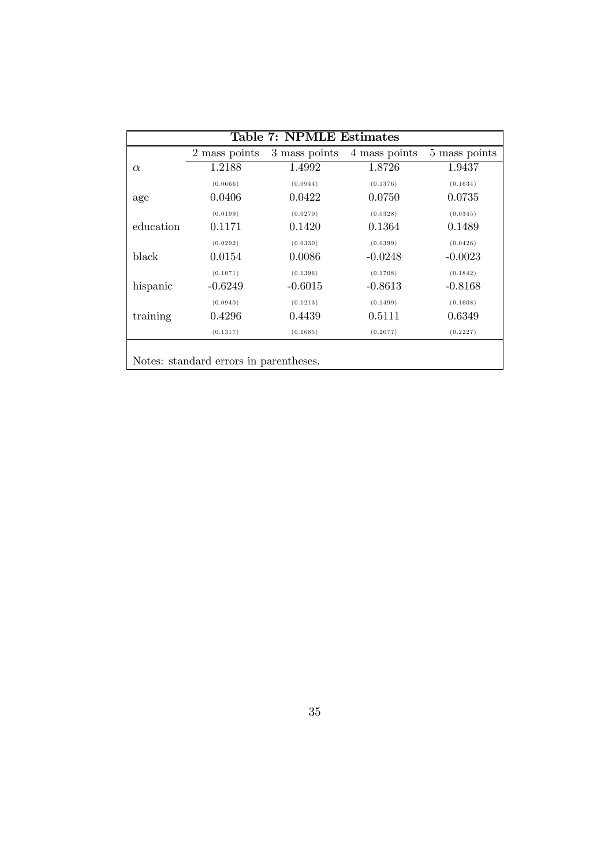| Table 7: NPMLE Estimates               |               |               |               |               |  |
|----------------------------------------|---------------|---------------|---------------|---------------|--|
|                                        | 2 mass points | 3 mass points | 4 mass points | 5 mass points |  |
| $\alpha$                               | 1.2188        | 1.4992        | 1.8726        | 1.9437        |  |
|                                        | (0.0666)      | (0.0944)      | (0.1376)      | (0.1634)      |  |
| age                                    | 0.0406        | 0.0422        | 0.0750        | 0.0735        |  |
|                                        | (0.0199)      | (0.0270)      | (0.0328)      | (0.0345)      |  |
| education                              | 0.1171        | 0.1420        | 0.1364        | 0.1489        |  |
|                                        | (0.0292)      | (0.0330)      | (0.0399)      | (0.0426)      |  |
| black                                  | 0.0154        | 0.0086        | $-0.0248$     | $-0.0023$     |  |
|                                        | (0.1071)      | (0.1396)      | (0.1708)      | (0.1842)      |  |
| hispanic                               | $-0.6249$     | $-0.6015$     | $-0.8613$     | $-0.8168$     |  |
|                                        | (0.0940)      | (0.1213)      | (0.1499)      | (0.1608)      |  |
| training                               | 0.4296        | 0.4439        | 0.5111        | 0.6349        |  |
|                                        | (0.1317)      | (0.1685)      | (0.2077)      | (0.2227)      |  |
| Notes: standard errors in parentheses. |               |               |               |               |  |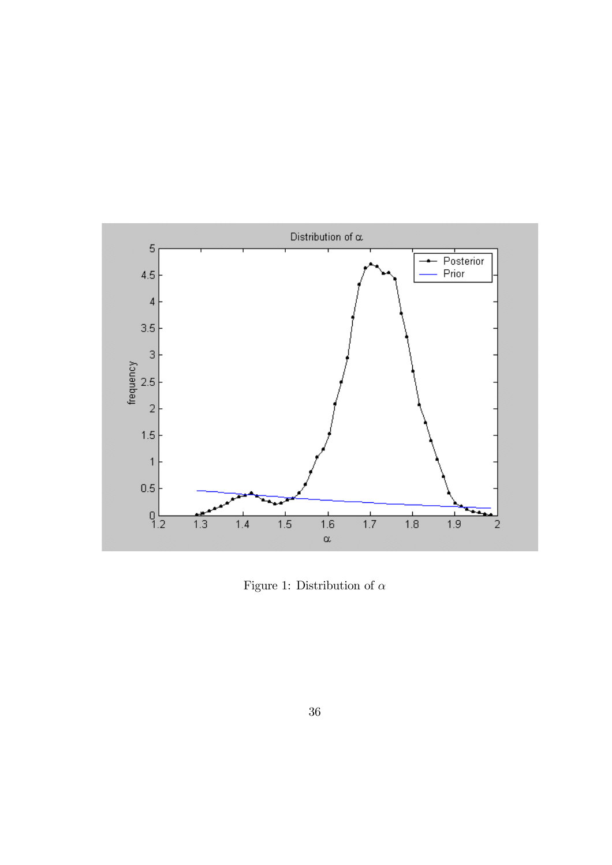

Figure 1: Distribution of  $\alpha$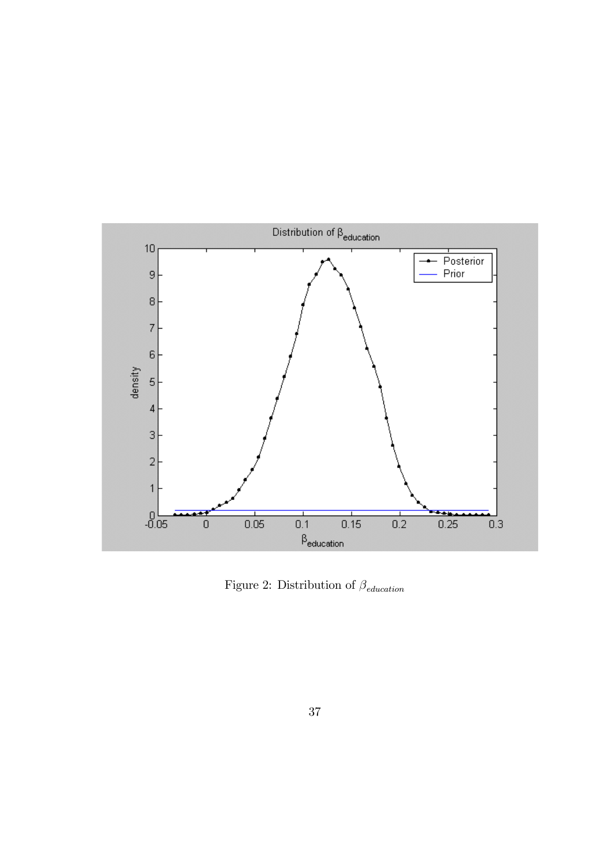

Figure 2: Distribution of  $\beta_{eduction}$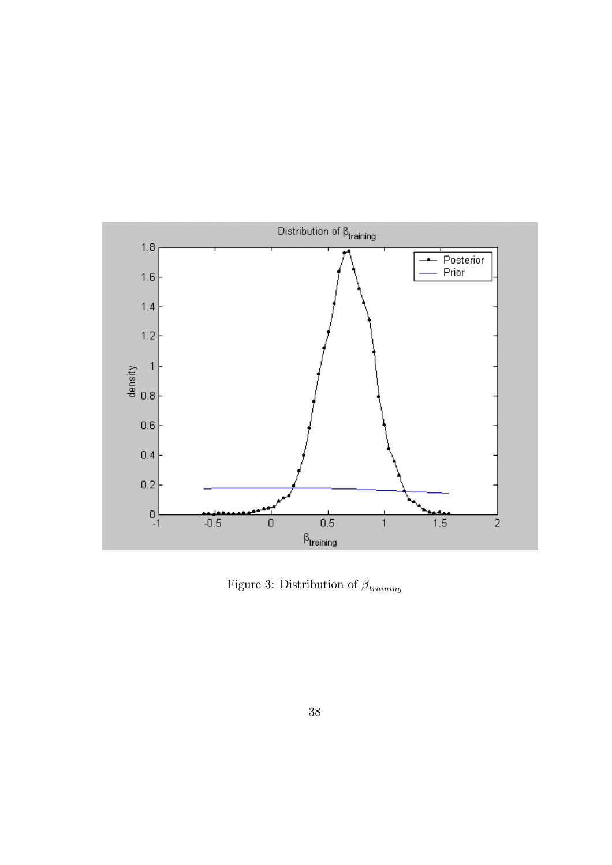

Figure 3: Distribution of  $\beta_{training}$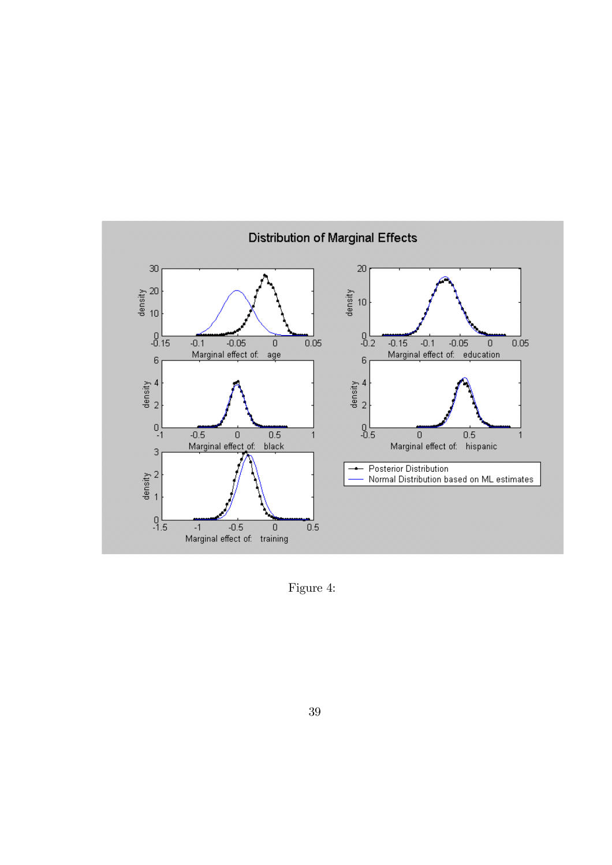

Figure 4: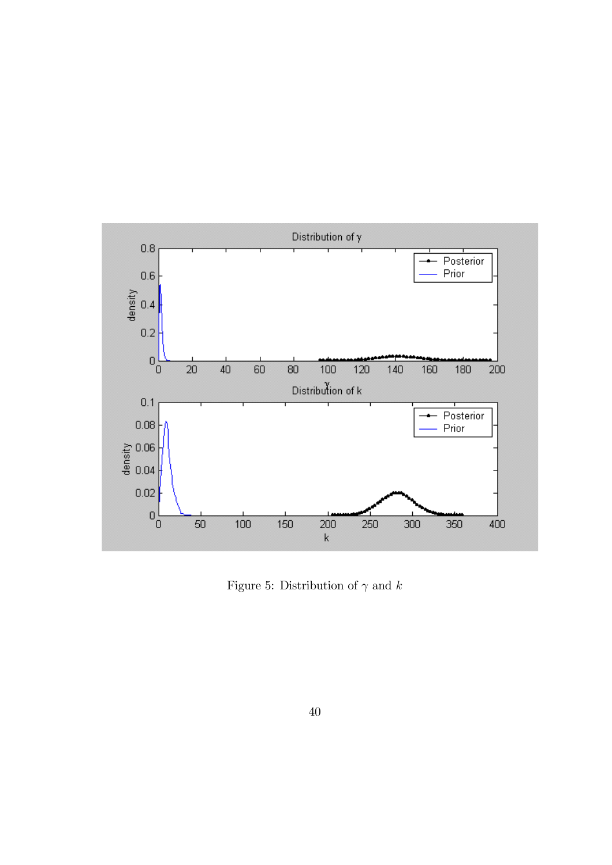

Figure 5: Distribution of  $\gamma$  and  $k$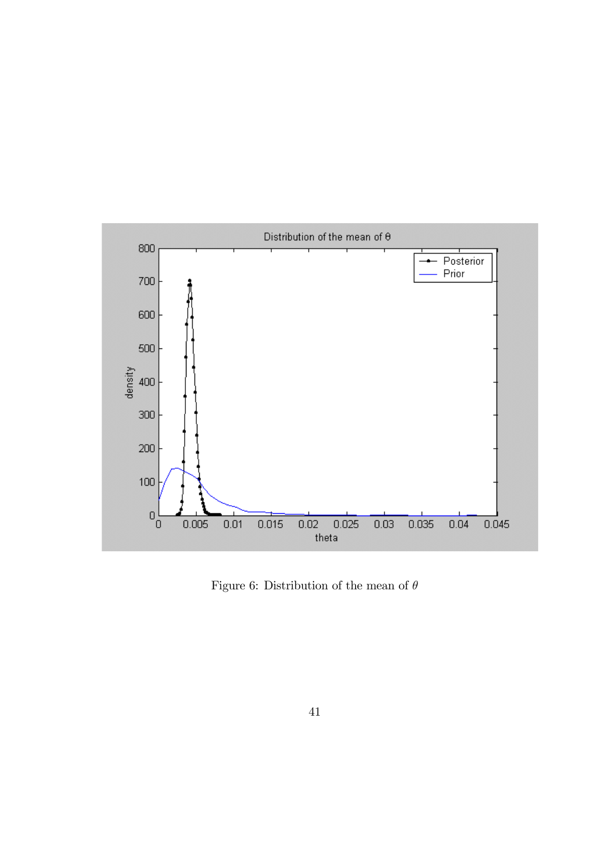

Figure 6: Distribution of the mean of  $\theta$